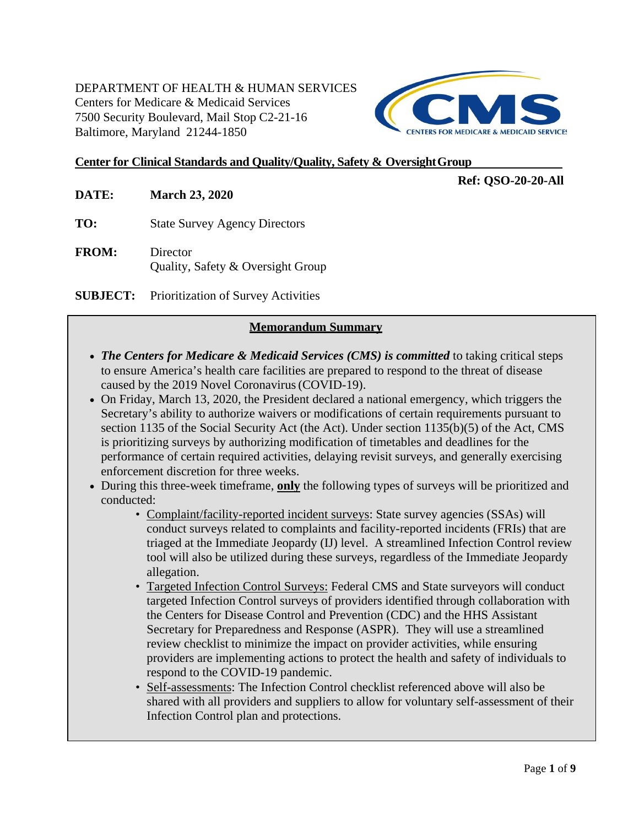### DEPARTMENT OF HEALTH & HUMAN SERVICES Centers for Medicare & Medicaid Services 7500 Security Boulevard, Mail Stop C2-21-16 Baltimore, Maryland 21244-1850



### **Center for Clinical Standards and Quality/Quality, Safety & OversightGroup**

**Ref: QSO-20-20-All**

**DATE: March 23, 2020** 

**TO:** State Survey Agency Directors

**FROM:** Director Quality, Safety & Oversight Group

**SUBJECT:** Prioritization of Survey Activities

### **Memorandum Summary**

- *The Centers for Medicare & Medicaid Services (CMS) is committed* to taking critical steps to ensure America's health care facilities are prepared to respond to the threat of disease caused by the 2019 Novel Coronavirus (COVID-19).
- On Friday, March 13, 2020, the President declared a national emergency, which triggers the Secretary's ability to authorize waivers or modifications of certain requirements pursuant to section 1135 of the Social Security Act (the Act). Under section 1135(b)(5) of the Act, CMS is prioritizing surveys by authorizing modification of timetables and deadlines for the performance of certain required activities, delaying revisit surveys, and generally exercising enforcement discretion for three weeks.
- During this three-week timeframe, **only** the following types of surveys will be prioritized and conducted:
	- Complaint/facility-reported incident surveys: State survey agencies (SSAs) will conduct surveys related to complaints and facility-reported incidents (FRIs) that are triaged at the Immediate Jeopardy (IJ) level. A streamlined Infection Control review tool will also be utilized during these surveys, regardless of the Immediate Jeopardy allegation.
	- Targeted Infection Control Surveys: Federal CMS and State surveyors will conduct targeted Infection Control surveys of providers identified through collaboration with the Centers for Disease Control and Prevention (CDC) and the HHS Assistant Secretary for Preparedness and Response (ASPR). They will use a streamlined review checklist to minimize the impact on provider activities, while ensuring providers are implementing actions to protect the health and safety of individuals to respond to the COVID-19 pandemic.
	- Self-assessments: The Infection Control checklist referenced above will also be shared with all providers and suppliers to allow for voluntary self-assessment of their Infection Control plan and protections.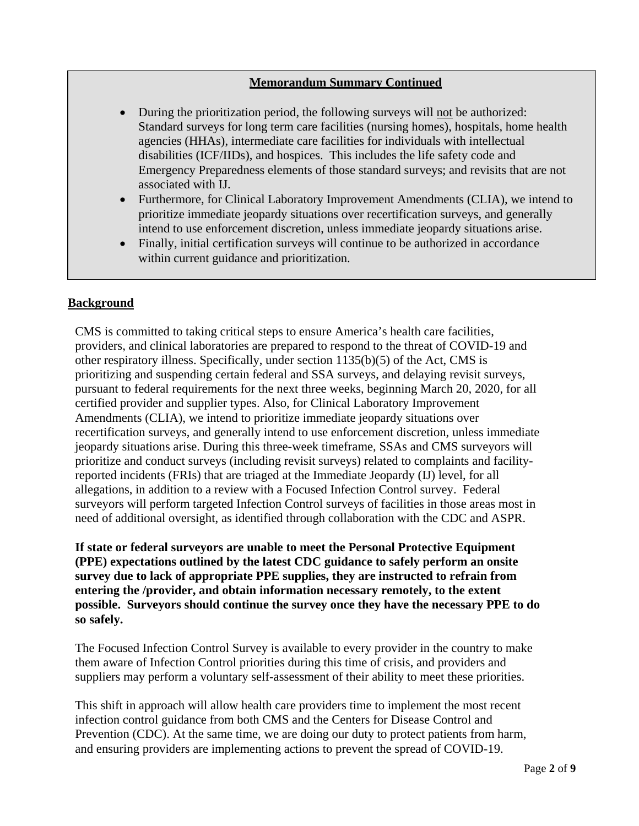### **Memorandum Summary Continued**

- During the prioritization period, the following surveys will not be authorized: Standard surveys for long term care facilities (nursing homes), hospitals, home health agencies (HHAs), intermediate care facilities for individuals with intellectual disabilities (ICF/IIDs), and hospices. This includes the life safety code and Emergency Preparedness elements of those standard surveys; and revisits that are not associated with IJ.
- Furthermore, for Clinical Laboratory Improvement Amendments (CLIA), we intend to prioritize immediate jeopardy situations over recertification surveys, and generally intend to use enforcement discretion, unless immediate jeopardy situations arise.
- Finally, initial certification surveys will continue to be authorized in accordance within current guidance and prioritization.

#### **Background**

CMS is committed to taking critical steps to ensure America's health care facilities, providers, and clinical laboratories are prepared to respond to the threat of COVID-19 and other respiratory illness. Specifically, under section 1135(b)(5) of the Act, CMS is prioritizing and suspending certain federal and SSA surveys, and delaying revisit surveys, pursuant to federal requirements for the next three weeks, beginning March 20, 2020, for all certified provider and supplier types. Also, for Clinical Laboratory Improvement Amendments (CLIA), we intend to prioritize immediate jeopardy situations over recertification surveys, and generally intend to use enforcement discretion, unless immediate jeopardy situations arise. During this three-week timeframe, SSAs and CMS surveyors will prioritize and conduct surveys (including revisit surveys) related to complaints and facilityreported incidents (FRIs) that are triaged at the Immediate Jeopardy (IJ) level, for all allegations, in addition to a review with a Focused Infection Control survey. Federal surveyors will perform targeted Infection Control surveys of facilities in those areas most in need of additional oversight, as identified through collaboration with the CDC and ASPR.

**If state or federal surveyors are unable to meet the Personal Protective Equipment (PPE) expectations outlined by the latest CDC guidance to safely perform an onsite survey due to lack of appropriate PPE supplies, they are instructed to refrain from entering the /provider, and obtain information necessary remotely, to the extent possible. Surveyors should continue the survey once they have the necessary PPE to do so safely.**

The Focused Infection Control Survey is available to every provider in the country to make them aware of Infection Control priorities during this time of crisis, and providers and suppliers may perform a voluntary self-assessment of their ability to meet these priorities.

This shift in approach will allow health care providers time to implement the most recent infection control guidance from both CMS and the Centers for Disease Control and Prevention (CDC). At the same time, we are doing our duty to protect patients from harm, and ensuring providers are implementing actions to prevent the spread of COVID-19.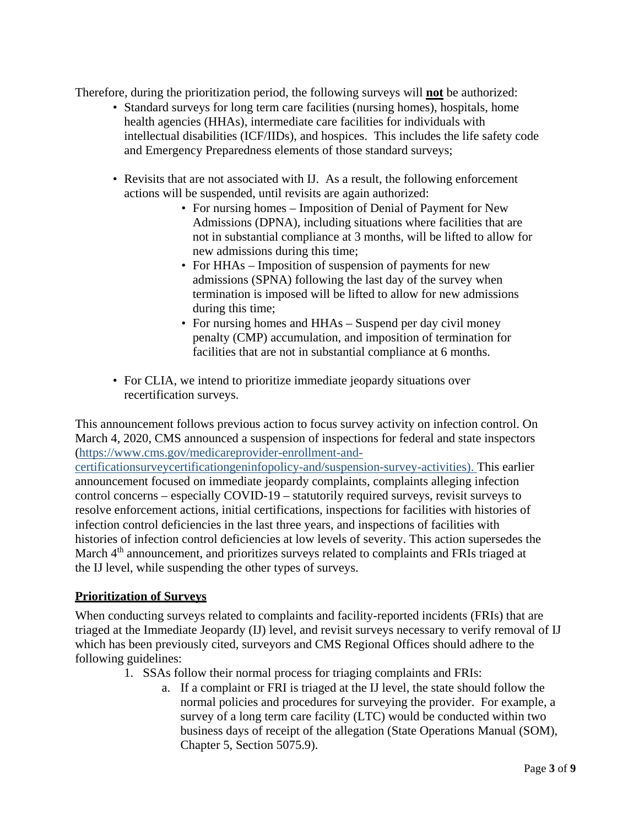Therefore, during the prioritization period, the following surveys will **not** be authorized:

- Standard surveys for long term care facilities (nursing homes), hospitals, home health agencies (HHAs), intermediate care facilities for individuals with intellectual disabilities (ICF/IIDs), and hospices. This includes the life safety code and Emergency Preparedness elements of those standard surveys;
- Revisits that are not associated with IJ. As a result, the following enforcement actions will be suspended, until revisits are again authorized:
	- For nursing homes Imposition of Denial of Payment for New Admissions (DPNA), including situations where facilities that are not in substantial compliance at 3 months, will be lifted to allow for new admissions during this time;
	- For HHAs Imposition of suspension of payments for new admissions (SPNA) following the last day of the survey when termination is imposed will be lifted to allow for new admissions during this time;
	- For nursing homes and HHAs Suspend per day civil money penalty (CMP) accumulation, and imposition of termination for facilities that are not in substantial compliance at 6 months.
- For CLIA, we intend to prioritize immediate jeopardy situations over recertification surveys.

This announcement follows previous action to focus survey activity on infection control. On March 4, 2020, CMS announced a suspension of inspections for federal and state inspectors [\(https://www.cms.gov/medicareprovider-enrollment-and-](https://www.cms.gov/medicareprovider-enrollment-and-certificationsurveycertificationgeninfopolicy-and/suspension-survey-activities)

[certificationsurveycertificationgeninfopolicy-and/suspension-survey-activities\)](https://www.cms.gov/medicareprovider-enrollment-and-certificationsurveycertificationgeninfopolicy-and/suspension-survey-activities). This earlier announcement focused on immediate jeopardy complaints, complaints alleging infection control concerns – especially COVID-19 – statutorily required surveys, revisit surveys to resolve enforcement actions, initial certifications, inspections for facilities with histories of infection control deficiencies in the last three years, and inspections of facilities with histories of infection control deficiencies at low levels of severity. This action supersedes the March 4<sup>th</sup> announcement, and prioritizes surveys related to complaints and FRIs triaged at the IJ level, while suspending the other types of surveys.

### **Prioritization of Surveys**

When conducting surveys related to complaints and facility-reported incidents (FRIs) that are triaged at the Immediate Jeopardy (IJ) level, and revisit surveys necessary to verify removal of IJ which has been previously cited, surveyors and CMS Regional Offices should adhere to the following guidelines:

- 1. SSAs follow their normal process for triaging complaints and FRIs:
	- a. If a complaint or FRI is triaged at the IJ level, the state should follow the normal policies and procedures for surveying the provider. For example, a survey of a long term care facility (LTC) would be conducted within two business days of receipt of the allegation (State Operations Manual (SOM), Chapter 5, Section 5075.9).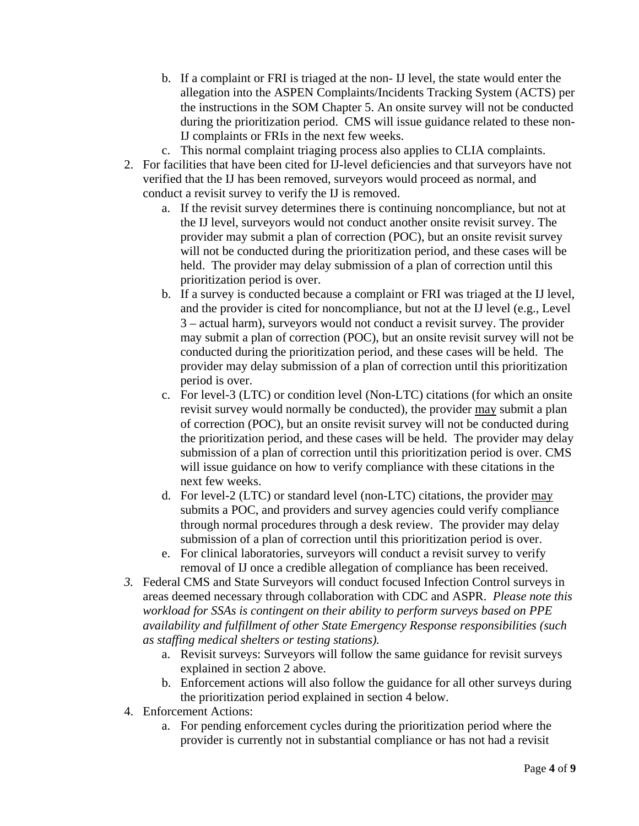- b. If a complaint or FRI is triaged at the non- IJ level, the state would enter the allegation into the ASPEN Complaints/Incidents Tracking System (ACTS) per the instructions in the SOM Chapter 5. An onsite survey will not be conducted during the prioritization period. CMS will issue guidance related to these non-IJ complaints or FRIs in the next few weeks.
- c. This normal complaint triaging process also applies to CLIA complaints.
- 2. For facilities that have been cited for IJ-level deficiencies and that surveyors have not verified that the IJ has been removed, surveyors would proceed as normal, and conduct a revisit survey to verify the IJ is removed.
	- a. If the revisit survey determines there is continuing noncompliance, but not at the IJ level, surveyors would not conduct another onsite revisit survey. The provider may submit a plan of correction (POC), but an onsite revisit survey will not be conducted during the prioritization period, and these cases will be held. The provider may delay submission of a plan of correction until this prioritization period is over.
	- b. If a survey is conducted because a complaint or FRI was triaged at the IJ level, and the provider is cited for noncompliance, but not at the IJ level (e.g., Level 3 – actual harm), surveyors would not conduct a revisit survey. The provider may submit a plan of correction (POC), but an onsite revisit survey will not be conducted during the prioritization period, and these cases will be held. The provider may delay submission of a plan of correction until this prioritization period is over.
	- c. For level-3 (LTC) or condition level (Non-LTC) citations (for which an onsite revisit survey would normally be conducted), the provider may submit a plan of correction (POC), but an onsite revisit survey will not be conducted during the prioritization period, and these cases will be held. The provider may delay submission of a plan of correction until this prioritization period is over. CMS will issue guidance on how to verify compliance with these citations in the next few weeks.
	- d. For level-2 (LTC) or standard level (non-LTC) citations, the provider may submits a POC, and providers and survey agencies could verify compliance through normal procedures through a desk review. The provider may delay submission of a plan of correction until this prioritization period is over.
	- e. For clinical laboratories, surveyors will conduct a revisit survey to verify removal of IJ once a credible allegation of compliance has been received.
- *3.* Federal CMS and State Surveyors will conduct focused Infection Control surveys in areas deemed necessary through collaboration with CDC and ASPR. *Please note this workload for SSAs is contingent on their ability to perform surveys based on PPE availability and fulfillment of other State Emergency Response responsibilities (such as staffing medical shelters or testing stations).*
	- a. Revisit surveys: Surveyors will follow the same guidance for revisit surveys explained in section 2 above.
	- b. Enforcement actions will also follow the guidance for all other surveys during the prioritization period explained in section 4 below.
- 4. Enforcement Actions:
	- a. For pending enforcement cycles during the prioritization period where the provider is currently not in substantial compliance or has not had a revisit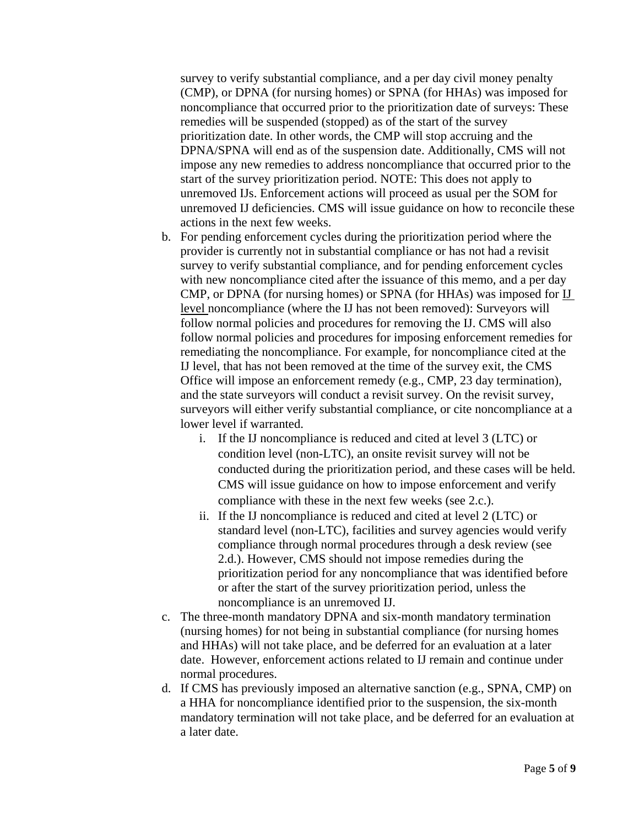survey to verify substantial compliance, and a per day civil money penalty (CMP), or DPNA (for nursing homes) or SPNA (for HHAs) was imposed for noncompliance that occurred prior to the prioritization date of surveys: These remedies will be suspended (stopped) as of the start of the survey prioritization date. In other words, the CMP will stop accruing and the DPNA/SPNA will end as of the suspension date. Additionally, CMS will not impose any new remedies to address noncompliance that occurred prior to the start of the survey prioritization period. NOTE: This does not apply to unremoved IJs. Enforcement actions will proceed as usual per the SOM for unremoved IJ deficiencies. CMS will issue guidance on how to reconcile these actions in the next few weeks.

- b. For pending enforcement cycles during the prioritization period where the provider is currently not in substantial compliance or has not had a revisit survey to verify substantial compliance, and for pending enforcement cycles with new noncompliance cited after the issuance of this memo, and a per day CMP, or DPNA (for nursing homes) or SPNA (for HHAs) was imposed for IJ level noncompliance (where the IJ has not been removed): Surveyors will follow normal policies and procedures for removing the IJ. CMS will also follow normal policies and procedures for imposing enforcement remedies for remediating the noncompliance. For example, for noncompliance cited at the IJ level, that has not been removed at the time of the survey exit, the CMS Office will impose an enforcement remedy (e.g., CMP, 23 day termination), and the state surveyors will conduct a revisit survey. On the revisit survey, surveyors will either verify substantial compliance, or cite noncompliance at a lower level if warranted.
	- i. If the IJ noncompliance is reduced and cited at level 3 (LTC) or condition level (non-LTC), an onsite revisit survey will not be conducted during the prioritization period, and these cases will be held. CMS will issue guidance on how to impose enforcement and verify compliance with these in the next few weeks (see 2.c.).
	- ii. If the IJ noncompliance is reduced and cited at level 2 (LTC) or standard level (non-LTC), facilities and survey agencies would verify compliance through normal procedures through a desk review (see 2.d.). However, CMS should not impose remedies during the prioritization period for any noncompliance that was identified before or after the start of the survey prioritization period, unless the noncompliance is an unremoved IJ.
- c. The three-month mandatory DPNA and six-month mandatory termination (nursing homes) for not being in substantial compliance (for nursing homes and HHAs) will not take place, and be deferred for an evaluation at a later date. However, enforcement actions related to IJ remain and continue under normal procedures.
- d. If CMS has previously imposed an alternative sanction (e.g., SPNA, CMP) on a HHA for noncompliance identified prior to the suspension, the six-month mandatory termination will not take place, and be deferred for an evaluation at a later date.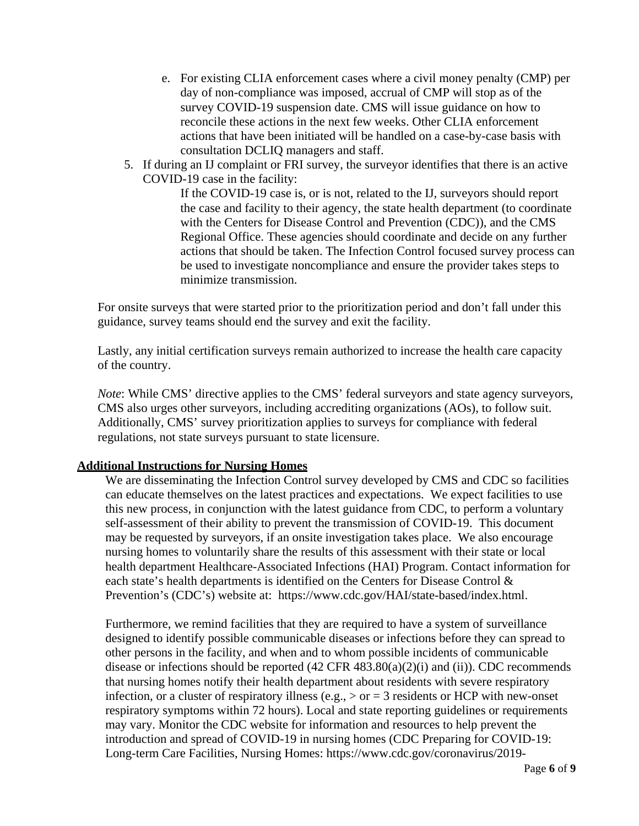- e. For existing CLIA enforcement cases where a civil money penalty (CMP) per day of non-compliance was imposed, accrual of CMP will stop as of the survey COVID-19 suspension date. CMS will issue guidance on how to reconcile these actions in the next few weeks. Other CLIA enforcement actions that have been initiated will be handled on a case-by-case basis with consultation DCLIQ managers and staff.
- 5. If during an IJ complaint or FRI survey, the surveyor identifies that there is an active COVID-19 case in the facility:

If the COVID-19 case is, or is not, related to the IJ, surveyors should report the case and facility to their agency, the state health department (to coordinate with the Centers for Disease Control and Prevention (CDC)), and the CMS Regional Office. These agencies should coordinate and decide on any further actions that should be taken. The Infection Control focused survey process can be used to investigate noncompliance and ensure the provider takes steps to minimize transmission.

For onsite surveys that were started prior to the prioritization period and don't fall under this guidance, survey teams should end the survey and exit the facility.

Lastly, any initial certification surveys remain authorized to increase the health care capacity of the country.

*Note*: While CMS' directive applies to the CMS' federal surveyors and state agency surveyors, CMS also urges other surveyors, including accrediting organizations (AOs), to follow suit. Additionally, CMS' survey prioritization applies to surveys for compliance with federal regulations, not state surveys pursuant to state licensure.

#### **Additional Instructions for Nursing Homes**

We are disseminating the Infection Control survey developed by CMS and CDC so facilities can educate themselves on the latest practices and expectations. We expect facilities to use this new process, in conjunction with the latest guidance from CDC, to perform a voluntary self-assessment of their ability to prevent the transmission of COVID-19. This document may be requested by surveyors, if an onsite investigation takes place. We also encourage nursing homes to voluntarily share the results of this assessment with their state or local health department Healthcare-Associated Infections (HAI) Program. Contact information for each state's health departments is identified on the Centers for Disease Control & Prevention's (CDC's) website at: https://www.cdc.gov/HAI/state-based/index.html.

Furthermore, we remind facilities that they are required to have a system of surveillance designed to identify possible communicable diseases or infections before they can spread to other persons in the facility, and when and to whom possible incidents of communicable disease or infections should be reported (42 CFR 483.80(a)(2)(i) and (ii)). CDC recommends that nursing homes notify their health department about residents with severe respiratory infection, or a cluster of respiratory illness (e.g.,  $>$  or = 3 residents or HCP with new-onset respiratory symptoms within 72 hours). Local and state reporting guidelines or requirements may vary. Monitor the CDC website for information and resources to help prevent the introduction and spread of COVID-19 in nursing homes (CDC Preparing for COVID-19: Long-term Care Facilities, Nursing Homes: https://www.cdc.gov/coronavirus/2019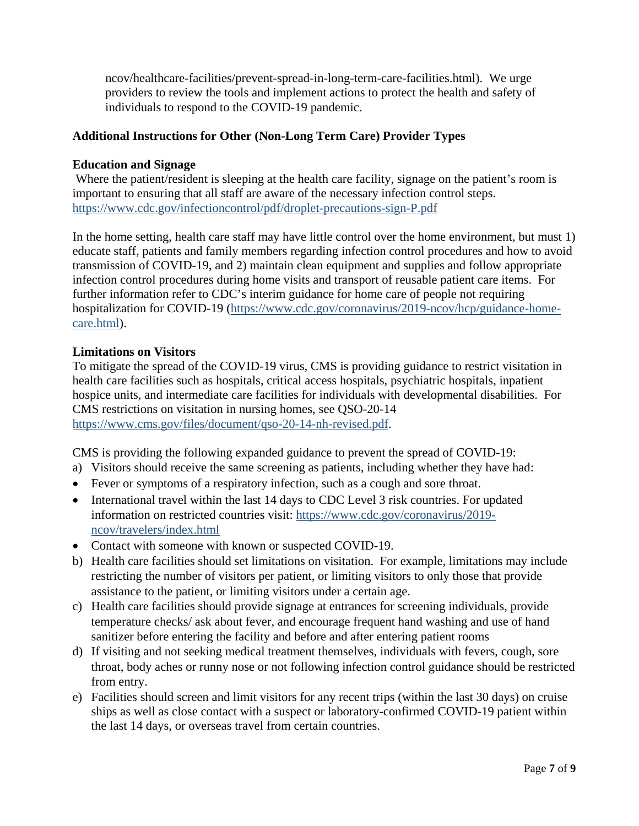ncov/healthcare-facilities/prevent-spread-in-long-term-care-facilities.html). We urge providers to review the tools and implement actions to protect the health and safety of individuals to respond to the COVID-19 pandemic.

### **Additional Instructions for Other (Non-Long Term Care) Provider Types**

#### **Education and Signage**

Where the patient/resident is sleeping at the health care facility, signage on the patient's room is important to ensuring that all staff are aware of the necessary infection control steps. <https://www.cdc.gov/infectioncontrol/pdf/droplet-precautions-sign-P.pdf>

In the home setting, health care staff may have little control over the home environment, but must 1) educate staff, patients and family members regarding infection control procedures and how to avoid transmission of COVID-19, and 2) maintain clean equipment and supplies and follow appropriate infection control procedures during home visits and transport of reusable patient care items. For further information refer to CDC's interim guidance for home care of people not requiring hospitalization for COVID-19 [\(https://www.cdc.gov/coronavirus/2019-ncov/hcp/guidance-home](https://www.cdc.gov/coronavirus/2019-ncov/hcp/guidance-home-care.html)[care.html\)](https://www.cdc.gov/coronavirus/2019-ncov/hcp/guidance-home-care.html).

#### **Limitations on Visitors**

To mitigate the spread of the COVID-19 virus, CMS is providing guidance to restrict visitation in health care facilities such as hospitals, critical access hospitals, psychiatric hospitals, inpatient hospice units, and intermediate care facilities for individuals with developmental disabilities. For CMS restrictions on visitation in nursing homes, see QSO-20-14 [https://www.cms.gov/files/document/qso-20-14-nh-revised.pdf.](https://www.cms.gov/files/document/qso-20-14-nh-revised.pdf)

CMS is providing the following expanded guidance to prevent the spread of COVID-19:

- a) Visitors should receive the same screening as patients, including whether they have had:
- Fever or symptoms of a respiratory infection, such as a cough and sore throat.
- International travel within the last 14 days to CDC Level 3 risk countries. For updated information on restricted countries visit: [https://www.cdc.gov/coronavirus/2019](https://www.cdc.gov/coronavirus/2019-ncov/travelers/index.html) [ncov/travelers/index.html](https://www.cdc.gov/coronavirus/2019-ncov/travelers/index.html)
- Contact with someone with known or suspected COVID-19.
- b) Health care facilities should set limitations on visitation. For example, limitations may include restricting the number of visitors per patient, or limiting visitors to only those that provide assistance to the patient, or limiting visitors under a certain age.
- c) Health care facilities should provide signage at entrances for screening individuals, provide temperature checks/ ask about fever, and encourage frequent hand washing and use of hand sanitizer before entering the facility and before and after entering patient rooms
- d) If visiting and not seeking medical treatment themselves, individuals with fevers, cough, sore throat, body aches or runny nose or not following infection control guidance should be restricted from entry.
- e) Facilities should screen and limit visitors for any recent trips (within the last 30 days) on cruise ships as well as close contact with a suspect or laboratory-confirmed COVID-19 patient within the last 14 days, or overseas travel from certain countries.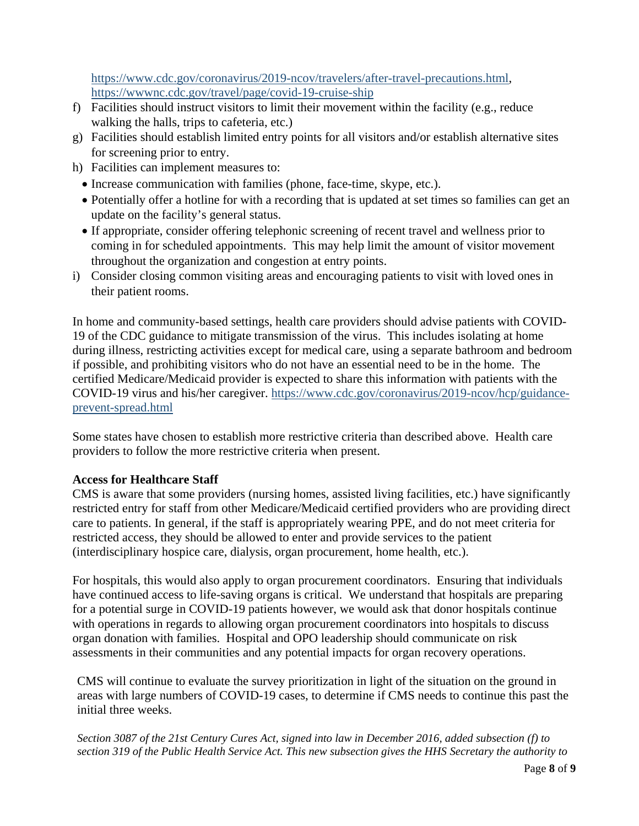[https://www.cdc.gov/coronavirus/2019-ncov/travelers/after-travel-precautions.html,](https://www.cdc.gov/coronavirus/2019-ncov/travelers/after-travel-precautions.html) <https://wwwnc.cdc.gov/travel/page/covid-19-cruise-ship>

- f) Facilities should instruct visitors to limit their movement within the facility (e.g., reduce walking the halls, trips to cafeteria, etc.)
- g) Facilities should establish limited entry points for all visitors and/or establish alternative sites for screening prior to entry.
- h) Facilities can implement measures to:
	- Increase communication with families (phone, face-time, skype, etc.).
	- Potentially offer a hotline for with a recording that is updated at set times so families can get an update on the facility's general status.
	- If appropriate, consider offering telephonic screening of recent travel and wellness prior to coming in for scheduled appointments. This may help limit the amount of visitor movement throughout the organization and congestion at entry points.
- i) Consider closing common visiting areas and encouraging patients to visit with loved ones in their patient rooms.

In home and community-based settings, health care providers should advise patients with COVID-19 of the CDC guidance to mitigate transmission of the virus. This includes isolating at home during illness, restricting activities except for medical care, using a separate bathroom and bedroom if possible, and prohibiting visitors who do not have an essential need to be in the home. The certified Medicare/Medicaid provider is expected to share this information with patients with the COVID-19 virus and his/her caregiver. [https://www.cdc.gov/coronavirus/2019-ncov/hcp/guidance](https://www.cdc.gov/coronavirus/2019-ncov/hcp/guidance-prevent-spread.html)[prevent-spread.html](https://www.cdc.gov/coronavirus/2019-ncov/hcp/guidance-prevent-spread.html)

Some states have chosen to establish more restrictive criteria than described above. Health care providers to follow the more restrictive criteria when present.

### **Access for Healthcare Staff**

CMS is aware that some providers (nursing homes, assisted living facilities, etc.) have significantly restricted entry for staff from other Medicare/Medicaid certified providers who are providing direct care to patients. In general, if the staff is appropriately wearing PPE, and do not meet criteria for restricted access, they should be allowed to enter and provide services to the patient (interdisciplinary hospice care, dialysis, organ procurement, home health, etc.).

For hospitals, this would also apply to organ procurement coordinators. Ensuring that individuals have continued access to life-saving organs is critical. We understand that hospitals are preparing for a potential surge in COVID-19 patients however, we would ask that donor hospitals continue with operations in regards to allowing organ procurement coordinators into hospitals to discuss organ donation with families. Hospital and OPO leadership should communicate on risk assessments in their communities and any potential impacts for organ recovery operations.

CMS will continue to evaluate the survey prioritization in light of the situation on the ground in areas with large numbers of COVID-19 cases, to determine if CMS needs to continue this past the initial three weeks.

*Section 3087 of the 21st Century Cures Act, signed into law in December 2016, added subsection (f) to section 319 of the Public Health Service Act. This new subsection gives the HHS Secretary the authority to*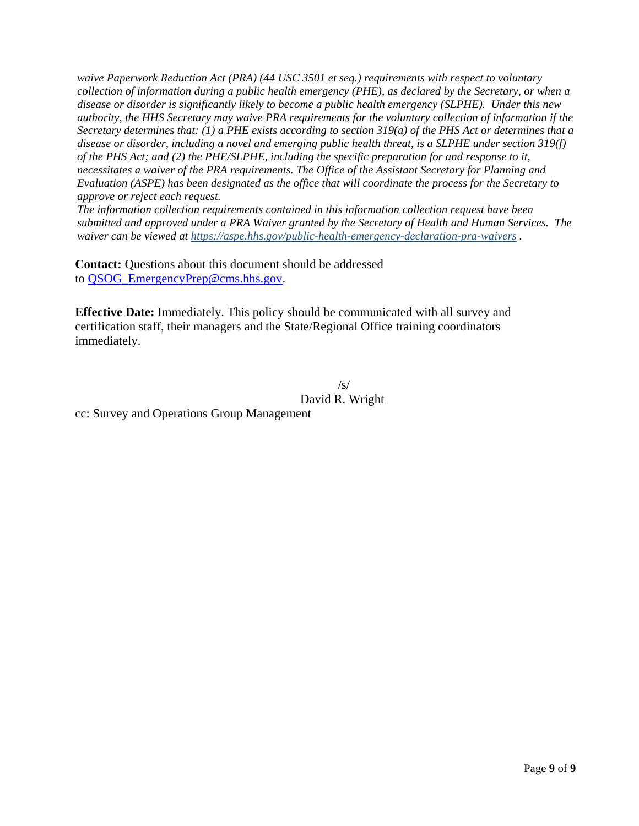*waive Paperwork Reduction Act (PRA) (44 USC 3501 et seq.) requirements with respect to voluntary collection of information during a public health emergency (PHE), as declared by the Secretary, or when a disease or disorder is significantly likely to become a public health emergency (SLPHE). Under this new authority, the HHS Secretary may waive PRA requirements for the voluntary collection of information if the Secretary determines that: (1) a PHE exists according to section 319(a) of the PHS Act or determines that a disease or disorder, including a novel and emerging public health threat, is a SLPHE under section 319(f) of the PHS Act; and (2) the PHE/SLPHE, including the specific preparation for and response to it, necessitates a waiver of the PRA requirements. The Office of the Assistant Secretary for Planning and Evaluation (ASPE) has been designated as the office that will coordinate the process for the Secretary to approve or reject each request.*

*The information collection requirements contained in this information collection request have been submitted and approved under a PRA Waiver granted by the Secretary of Health and Human Services. The waiver can be viewed at<https://aspe.hhs.gov/public-health-emergency-declaration-pra-waivers> .*

**Contact:** Questions about this document should be addressed to [QSOG\\_EmergencyPrep@cms.hhs.gov.](mailto:QSOG_EmergencyPrep@cms.hhs.gov)

**Effective Date:** Immediately. This policy should be communicated with all survey and certification staff, their managers and the State/Regional Office training coordinators immediately.

/s/

#### David R. Wright

cc: Survey and Operations Group Management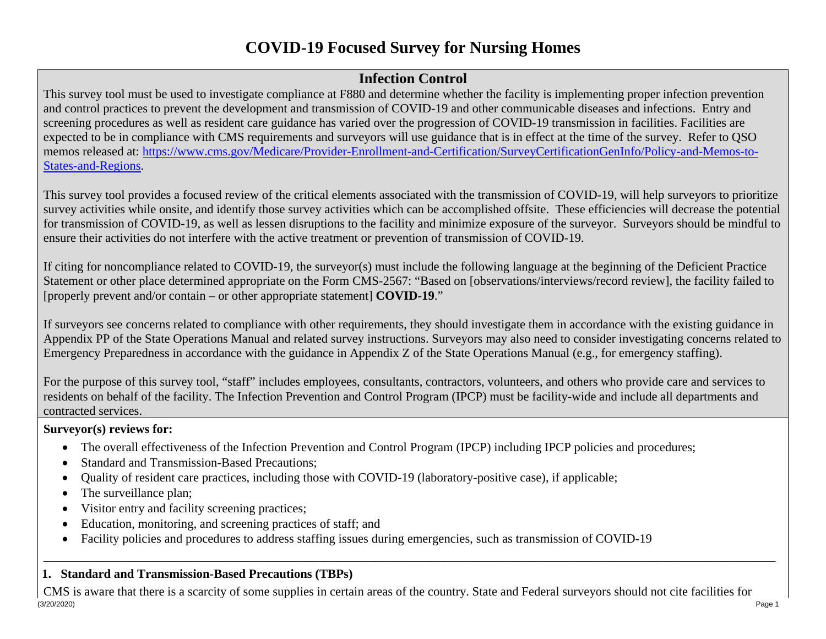### **Infection Control**

This survey tool must be used to investigate compliance at F880 and determine whether the facility is implementing proper infection prevention and control practices to prevent the development and transmission of COVID-19 and other communicable diseases and infections. Entry and screening procedures as well as resident care guidance has varied over the progression of COVID-19 transmission in facilities. Facilities are expected to be in compliance with CMS requirements and surveyors will use guidance that is in effect at the time of the survey. Refer to QSO memos released at: [https://www.cms.gov/Medicare/Provider-Enrollment-and-Certification/SurveyCertificationGenInfo/Policy-and-Memos-to-](https://www.cms.gov/Medicare/Provider-Enrollment-and-Certification/SurveyCertificationGenInfo/Policy-and-Memos-to-States-and-Regions)[States-and-Regions.](https://www.cms.gov/Medicare/Provider-Enrollment-and-Certification/SurveyCertificationGenInfo/Policy-and-Memos-to-States-and-Regions)

This survey tool provides a focused review of the critical elements associated with the transmission of COVID-19, will help surveyors to prioritize survey activities while onsite, and identify those survey activities which can be accomplished offsite. These efficiencies will decrease the potential for transmission of COVID-19, as well as lessen disruptions to the facility and minimize exposure of the surveyor. Surveyors should be mindful to ensure their activities do not interfere with the active treatment or prevention of transmission of COVID-19.

If citing for noncompliance related to COVID-19, the surveyor(s) must include the following language at the beginning of the Deficient Practice Statement or other place determined appropriate on the Form CMS-2567: "Based on [observations/interviews/record review], the facility failed to [properly prevent and/or contain – or other appropriate statement] **COVID-19**."

If surveyors see concerns related to compliance with other requirements, they should investigate them in accordance with the existing guidance in Appendix PP of the State Operations Manual and related survey instructions. Surveyors may also need to consider investigating concerns related to Emergency Preparedness in accordance with the guidance in Appendix Z of the State Operations Manual (e.g., for emergency staffing).

For the purpose of this survey tool, "staff" includes employees, consultants, contractors, volunteers, and others who provide care and services to residents on behalf of the facility. The Infection Prevention and Control Program (IPCP) must be facility-wide and include all departments and contracted services.

### **Surveyor(s) reviews for:**

- The overall effectiveness of the Infection Prevention and Control Program (IPCP) including IPCP policies and procedures;
- Standard and Transmission-Based Precautions;
- Quality of resident care practices, including those with COVID-19 (laboratory-positive case), if applicable;
- The surveillance plan;
- Visitor entry and facility screening practices;
- Education, monitoring, and screening practices of staff; and
- Facility policies and procedures to address staffing issues during emergencies, such as transmission of COVID-19

### **1. Standard and Transmission-Based Precautions (TBPs)**

(3/20/2020) Page 1 CMS is aware that there is a scarcity of some supplies in certain areas of the country. State and Federal surveyors should not cite facilities for

\_\_\_\_\_\_\_\_\_\_\_\_\_\_\_\_\_\_\_\_\_\_\_\_\_\_\_\_\_\_\_\_\_\_\_\_\_\_\_\_\_\_\_\_\_\_\_\_\_\_\_\_\_\_\_\_\_\_\_\_\_\_\_\_\_\_\_\_\_\_\_\_\_\_\_\_\_\_\_\_\_\_\_\_\_\_\_\_\_\_\_\_\_\_\_\_\_\_\_\_\_\_\_\_\_\_\_\_\_\_\_\_\_\_\_\_\_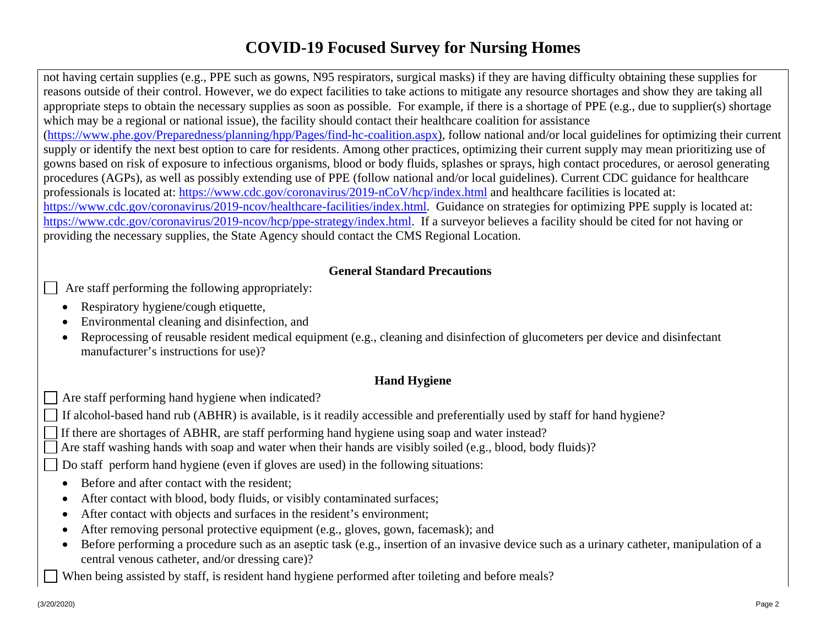not having certain supplies (e.g., PPE such as gowns, N95 respirators, surgical masks) if they are having difficulty obtaining these supplies for reasons outside of their control. However, we do expect facilities to take actions to mitigate any resource shortages and show they are taking all appropriate steps to obtain the necessary supplies as soon as possible. For example, if there is a shortage of PPE (e.g., due to supplier(s) shortage which may be a regional or national issue), the facility should contact their healthcare coalition for assistance [\(https://www.phe.gov/Preparedness/planning/hpp/Pages/find-hc-coalition.aspx\)](https://www.phe.gov/Preparedness/planning/hpp/Pages/find-hc-coalition.aspx), follow national and/or local guidelines for optimizing their current supply or identify the next best option to care for residents. Among other practices, optimizing their current supply may mean prioritizing use of gowns based on risk of exposure to infectious organisms, blood or body fluids, splashes or sprays, high contact procedures, or aerosol generating procedures (AGPs), as well as possibly extending use of PPE (follow national and/or local guidelines). Current CDC guidance for healthcare professionals is located at:<https://www.cdc.gov/coronavirus/2019-nCoV/hcp/index.html> and healthcare facilities is located at: [https://www.cdc.gov/coronavirus/2019-ncov/healthcare-facilities/index.html.](https://www.cdc.gov/coronavirus/2019-ncov/healthcare-facilities/index.html) Guidance on strategies for optimizing PPE supply is located at: [https://www.cdc.gov/coronavirus/2019-ncov/hcp/ppe-strategy/index.html.](https://www.cdc.gov/coronavirus/2019-ncov/hcp/ppe-strategy/index.html) If a surveyor believes a facility should be cited for not having or providing the necessary supplies, the State Agency should contact the CMS Regional Location.

### **General Standard Precautions**

Are staff performing the following appropriately:  $\Box$ 

- Respiratory hygiene/cough etiquette,
- Environmental cleaning and disinfection, and
- Reprocessing of reusable resident medical equipment (e.g., cleaning and disinfection of glucometers per device and disinfectant manufacturer's instructions for use)?

### **Hand Hygiene**

Are staff performing hand hygiene when indicated?

If alcohol-based hand rub (ABHR) is available, is it readily accessible and preferentially used by staff for hand hygiene?

If there are shortages of ABHR, are staff performing hand hygiene using soap and water instead?

Are staff washing hands with soap and water when their hands are visibly soiled (e.g., blood, body fluids)?

Do staff perform hand hygiene (even if gloves are used) in the following situations:

- Before and after contact with the resident:
- After contact with blood, body fluids, or visibly contaminated surfaces;
- After contact with objects and surfaces in the resident's environment;
- After removing personal protective equipment (e.g., gloves, gown, facemask); and
- Before performing a procedure such as an aseptic task (e.g., insertion of an invasive device such as a urinary catheter, manipulation of a central venous catheter, and/or dressing care)?

When being assisted by staff, is resident hand hygiene performed after toileting and before meals?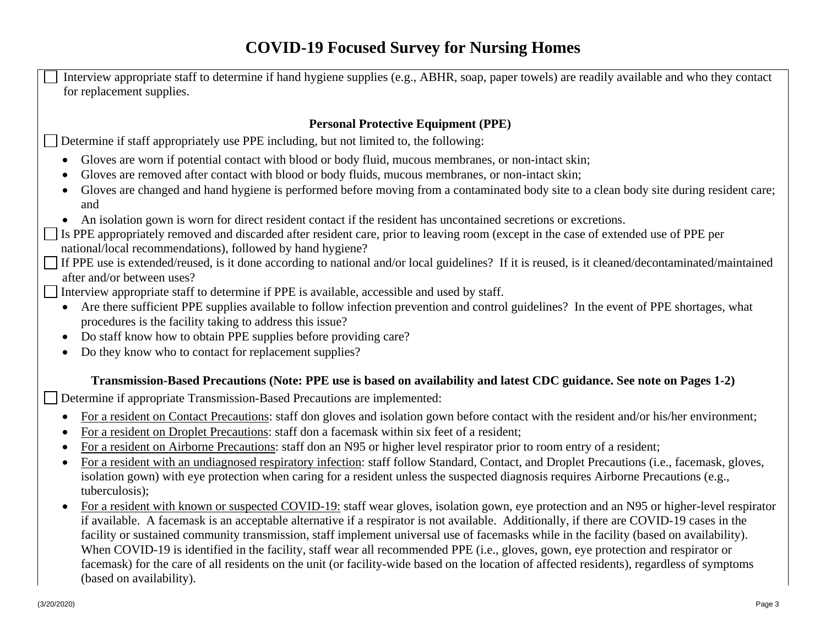| Interview appropriate staff to determine if hand hygiene supplies (e.g., ABHR, soap, paper towels) are readily available and who they contact<br>for replacement supplies.                                                                                                                                                                                                                                                                   |
|----------------------------------------------------------------------------------------------------------------------------------------------------------------------------------------------------------------------------------------------------------------------------------------------------------------------------------------------------------------------------------------------------------------------------------------------|
| <b>Personal Protective Equipment (PPE)</b>                                                                                                                                                                                                                                                                                                                                                                                                   |
| $\Box$ Determine if staff appropriately use PPE including, but not limited to, the following:                                                                                                                                                                                                                                                                                                                                                |
| Gloves are worn if potential contact with blood or body fluid, mucous membranes, or non-intact skin;<br>$\bullet$                                                                                                                                                                                                                                                                                                                            |
| Gloves are removed after contact with blood or body fluids, mucous membranes, or non-intact skin;                                                                                                                                                                                                                                                                                                                                            |
| Gloves are changed and hand hygiene is performed before moving from a contaminated body site to a clean body site during resident care;<br>$\bullet$<br>and                                                                                                                                                                                                                                                                                  |
| An isolation gown is worn for direct resident contact if the resident has uncontained secretions or excretions.<br>$\bullet$                                                                                                                                                                                                                                                                                                                 |
| Is PPE appropriately removed and discarded after resident care, prior to leaving room (except in the case of extended use of PPE per<br>national/local recommendations), followed by hand hygiene?                                                                                                                                                                                                                                           |
| If PPE use is extended/reused, is it done according to national and/or local guidelines? If it is reused, is it cleaned/decontaminated/maintained<br>after and/or between uses?                                                                                                                                                                                                                                                              |
| Interview appropriate staff to determine if PPE is available, accessible and used by staff.                                                                                                                                                                                                                                                                                                                                                  |
| Are there sufficient PPE supplies available to follow infection prevention and control guidelines? In the event of PPE shortages, what<br>procedures is the facility taking to address this issue?                                                                                                                                                                                                                                           |
| Do staff know how to obtain PPE supplies before providing care?                                                                                                                                                                                                                                                                                                                                                                              |
| Do they know who to contact for replacement supplies?<br>$\bullet$                                                                                                                                                                                                                                                                                                                                                                           |
| Transmission-Based Precautions (Note: PPE use is based on availability and latest CDC guidance. See note on Pages 1-2)                                                                                                                                                                                                                                                                                                                       |
| Determine if appropriate Transmission-Based Precautions are implemented:                                                                                                                                                                                                                                                                                                                                                                     |
| For a resident on Contact Precautions: staff don gloves and isolation gown before contact with the resident and/or his/her environment;<br>$\bullet$<br>For a resident on Droplet Precautions: staff don a facemask within six feet of a resident;<br>$\bullet$                                                                                                                                                                              |
| For a resident on Airborne Precautions: staff don an N95 or higher level respirator prior to room entry of a resident;<br>$\bullet$                                                                                                                                                                                                                                                                                                          |
| For a resident with an undiagnosed respiratory infection: staff follow Standard, Contact, and Droplet Precautions (i.e., facemask, gloves,<br>$\bullet$<br>isolation gown) with eye protection when caring for a resident unless the suspected diagnosis requires Airborne Precautions (e.g.,                                                                                                                                                |
| tuberculosis);                                                                                                                                                                                                                                                                                                                                                                                                                               |
| For a resident with known or suspected COVID-19: staff wear gloves, isolation gown, eye protection and an N95 or higher-level respirator<br>$\bullet$<br>if available. A facemask is an acceptable alternative if a respirator is not available. Additionally, if there are COVID-19 cases in the<br>facility or sustained community transmission, staff implement universal use of facemasks while in the facility (based on availability). |
| When COVID-19 is identified in the facility, staff wear all recommended PPE (i.e., gloves, gown, eye protection and respirator or<br>facemask) for the care of all residents on the unit (or facility-wide based on the location of affected residents), regardless of symptoms<br>(based on availability).                                                                                                                                  |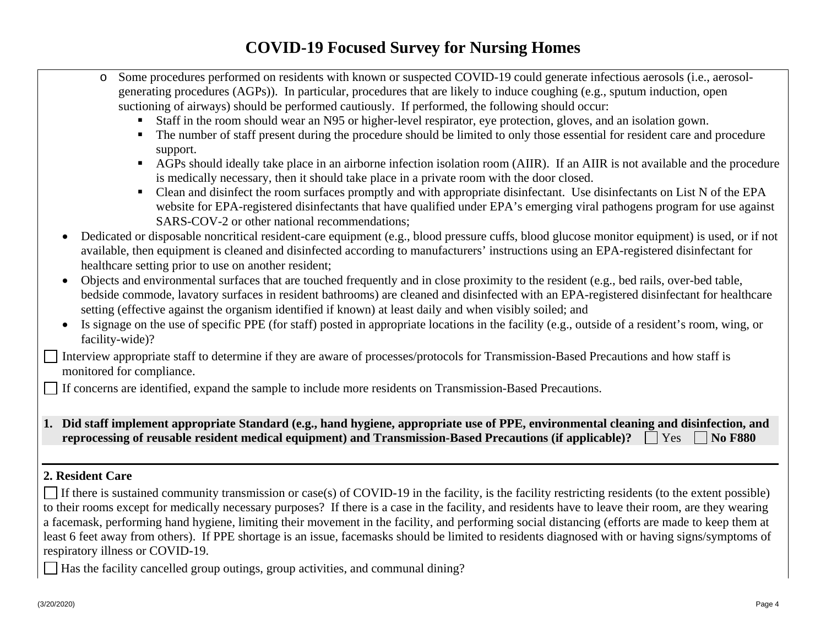- o Some procedures performed on residents with known or suspected COVID-19 could generate infectious aerosols (i.e., aerosolgenerating procedures (AGPs)). In particular, procedures that are likely to induce coughing (e.g., sputum induction, open suctioning of airways) should be performed cautiously. If performed, the following should occur:
	- Staff in the room should wear an N95 or higher-level respirator, eye protection, gloves, and an isolation gown.
	- The number of staff present during the procedure should be limited to only those essential for resident care and procedure support.
	- AGPs should ideally take place in an airborne infection isolation room (AIIR). If an AIIR is not available and the procedure is medically necessary, then it should take place in a private room with the door closed.
	- Clean and disinfect the room surfaces promptly and with appropriate disinfectant. Use disinfectants on List N of the EPA website for EPA-registered disinfectants that have qualified under EPA's emerging viral pathogens program for use against SARS-COV-2 or other national recommendations;
- Dedicated or disposable noncritical resident-care equipment (e.g., blood pressure cuffs, blood glucose monitor equipment) is used, or if not available, then equipment is cleaned and disinfected according to manufacturers' instructions using an EPA-registered disinfectant for healthcare setting prior to use on another resident;
- Objects and environmental surfaces that are touched frequently and in close proximity to the resident (e.g., bed rails, over-bed table, bedside commode, lavatory surfaces in resident bathrooms) are cleaned and disinfected with an EPA-registered disinfectant for healthcare setting (effective against the organism identified if known) at least daily and when visibly soiled; and
- Is signage on the use of specific PPE (for staff) posted in appropriate locations in the facility (e.g., outside of a resident's room, wing, or facility-wide)?

Interview appropriate staff to determine if they are aware of processes/protocols for Transmission-Based Precautions and how staff is monitored for compliance.

If concerns are identified, expand the sample to include more residents on Transmission-Based Precautions.

**1. Did staff implement appropriate Standard (e.g., hand hygiene, appropriate use of PPE, environmental cleaning and disinfection, and reprocessing of reusable resident medical equipment) and Transmission-Based Precautions (if applicable)?**  $\Box$  Yes  $\Box$  No F880

### **2. Resident Care**

 $\Box$  If there is sustained community transmission or case(s) of COVID-19 in the facility, is the facility restricting residents (to the extent possible) to their rooms except for medically necessary purposes? If there is a case in the facility, and residents have to leave their room, are they wearing a facemask, performing hand hygiene, limiting their movement in the facility, and performing social distancing (efforts are made to keep them at least 6 feet away from others). If PPE shortage is an issue, facemasks should be limited to residents diagnosed with or having signs/symptoms of respiratory illness or COVID-19.

Has the facility cancelled group outings, group activities, and communal dining?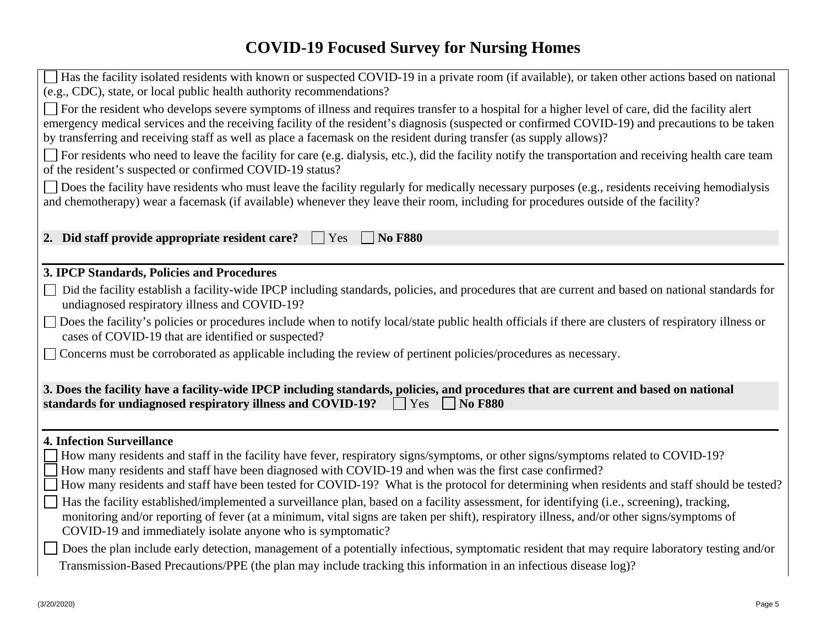| Has the facility isolated residents with known or suspected COVID-19 in a private room (if available), or taken other actions based on national        |
|--------------------------------------------------------------------------------------------------------------------------------------------------------|
| (e.g., CDC), state, or local public health authority recommendations?                                                                                  |
| For the resident who develops severe symptoms of illness and requires transfer to a hospital for a higher level of care, did the facility alert        |
| emergency medical services and the receiving facility of the resident's diagnosis (suspected or confirmed COVID-19) and precautions to be taken        |
| by transferring and receiving staff as well as place a facemask on the resident during transfer (as supply allows)?                                    |
| For residents who need to leave the facility for care (e.g. dialysis, etc.), did the facility notify the transportation and receiving health care team |
| of the resident's suspected or confirmed COVID-19 status?                                                                                              |
| Does the facility have residents who must leave the facility regularly for medically necessary purposes (e.g., residents receiving hemodialysis        |
| and chemotherapy) wear a facemask (if available) whenever they leave their room, including for procedures outside of the facility?                     |
|                                                                                                                                                        |
| 2. Did staff provide appropriate resident care?<br><b>No F880</b><br>Yes                                                                               |
|                                                                                                                                                        |
| 3. IPCP Standards, Policies and Procedures                                                                                                             |
| Did the facility establish a facility-wide IPCP including standards, policies, and procedures that are current and based on national standards for     |
| undiagnosed respiratory illness and COVID-19?                                                                                                          |
| Does the facility's policies or procedures include when to notify local/state public health officials if there are clusters of respiratory illness or  |
| cases of COVID-19 that are identified or suspected?                                                                                                    |
| Concerns must be corroborated as applicable including the review of pertinent policies/procedures as necessary.                                        |
|                                                                                                                                                        |
| 3. Does the facility have a facility-wide IPCP including standards, policies, and procedures that are current and based on national                    |
| standards for undiagnosed respiratory illness and COVID-19?<br>$ $ Yes $ $ No F880                                                                     |
|                                                                                                                                                        |
| <b>4. Infection Surveillance</b>                                                                                                                       |
| How many residents and staff in the facility have fever, respiratory signs/symptoms, or other signs/symptoms related to COVID-19?                      |
| How many residents and staff have been diagnosed with COVID-19 and when was the first case confirmed?                                                  |
| How many residents and staff have been tested for COVID-19? What is the protocol for determining when residents and staff should be tested?            |
| Has the facility established/implemented a surveillance plan, based on a facility assessment, for identifying (i.e., screening), tracking,             |
| monitoring and/or reporting of fever (at a minimum, vital signs are taken per shift), respiratory illness, and/or other signs/symptoms of              |
| COVID-19 and immediately isolate anyone who is symptomatic?                                                                                            |
| Does the plan include early detection, management of a potentially infectious, symptomatic resident that may require laboratory testing and/or         |
| Transmission-Based Precautions/PPE (the plan may include tracking this information in an infectious disease log)?                                      |
|                                                                                                                                                        |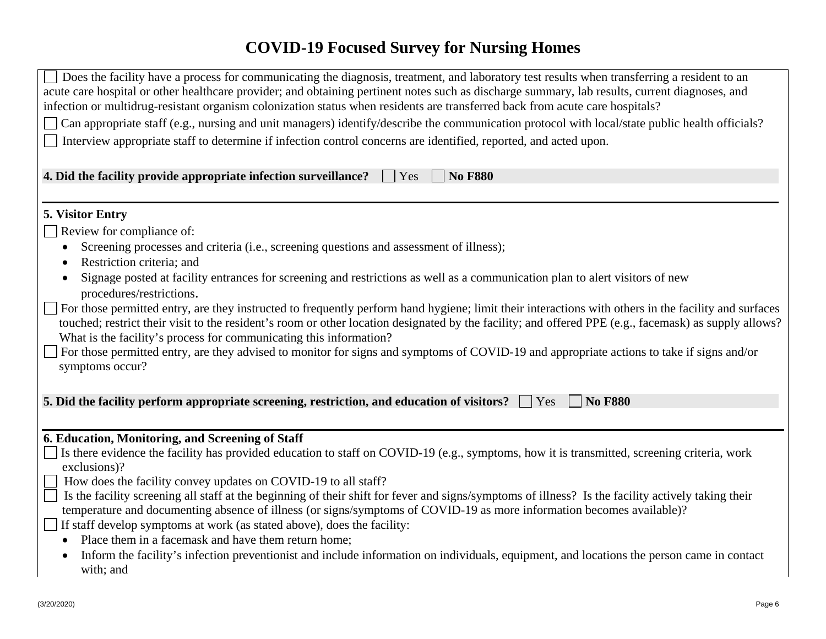| Does the facility have a process for communicating the diagnosis, treatment, and laboratory test results when transferring a resident to an<br>acute care hospital or other healthcare provider; and obtaining pertinent notes such as discharge summary, lab results, current diagnoses, and<br>infection or multidrug-resistant organism colonization status when residents are transferred back from acute care hospitals? |
|-------------------------------------------------------------------------------------------------------------------------------------------------------------------------------------------------------------------------------------------------------------------------------------------------------------------------------------------------------------------------------------------------------------------------------|
| Can appropriate staff (e.g., nursing and unit managers) identify/describe the communication protocol with local/state public health officials?                                                                                                                                                                                                                                                                                |
| Interview appropriate staff to determine if infection control concerns are identified, reported, and acted upon.                                                                                                                                                                                                                                                                                                              |
|                                                                                                                                                                                                                                                                                                                                                                                                                               |
| 4. Did the facility provide appropriate infection surveillance?<br><b>No F880</b><br>$ $   Yes                                                                                                                                                                                                                                                                                                                                |
|                                                                                                                                                                                                                                                                                                                                                                                                                               |
| 5. Visitor Entry                                                                                                                                                                                                                                                                                                                                                                                                              |
| Review for compliance of:                                                                                                                                                                                                                                                                                                                                                                                                     |
| Screening processes and criteria (i.e., screening questions and assessment of illness);                                                                                                                                                                                                                                                                                                                                       |
| Restriction criteria; and                                                                                                                                                                                                                                                                                                                                                                                                     |
| Signage posted at facility entrances for screening and restrictions as well as a communication plan to alert visitors of new                                                                                                                                                                                                                                                                                                  |
| procedures/restrictions.                                                                                                                                                                                                                                                                                                                                                                                                      |
| For those permitted entry, are they instructed to frequently perform hand hygiene; limit their interactions with others in the facility and surfaces                                                                                                                                                                                                                                                                          |
| touched; restrict their visit to the resident's room or other location designated by the facility; and offered PPE (e.g., facemask) as supply allows?                                                                                                                                                                                                                                                                         |
| What is the facility's process for communicating this information?                                                                                                                                                                                                                                                                                                                                                            |
| For those permitted entry, are they advised to monitor for signs and symptoms of COVID-19 and appropriate actions to take if signs and/or                                                                                                                                                                                                                                                                                     |
| symptoms occur?                                                                                                                                                                                                                                                                                                                                                                                                               |
|                                                                                                                                                                                                                                                                                                                                                                                                                               |
| <b>No F880</b><br>5. Did the facility perform appropriate screening, restriction, and education of visitors?<br>Yes                                                                                                                                                                                                                                                                                                           |
|                                                                                                                                                                                                                                                                                                                                                                                                                               |
| 6. Education, Monitoring, and Screening of Staff                                                                                                                                                                                                                                                                                                                                                                              |
| Is there evidence the facility has provided education to staff on COVID-19 (e.g., symptoms, how it is transmitted, screening criteria, work                                                                                                                                                                                                                                                                                   |
| exclusions)?                                                                                                                                                                                                                                                                                                                                                                                                                  |
| How does the facility convey updates on COVID-19 to all staff?                                                                                                                                                                                                                                                                                                                                                                |
| Is the facility screening all staff at the beginning of their shift for fever and signs/symptoms of illness? Is the facility actively taking their                                                                                                                                                                                                                                                                            |
| temperature and documenting absence of illness (or signs/symptoms of COVID-19 as more information becomes available)?                                                                                                                                                                                                                                                                                                         |
| $\Box$ If staff develop symptoms at work (as stated above), does the facility:                                                                                                                                                                                                                                                                                                                                                |
| Place them in a facemask and have them return home;                                                                                                                                                                                                                                                                                                                                                                           |
| Inform the facility's infection preventionist and include information on individuals, equipment, and locations the person came in contact<br>with; and                                                                                                                                                                                                                                                                        |
|                                                                                                                                                                                                                                                                                                                                                                                                                               |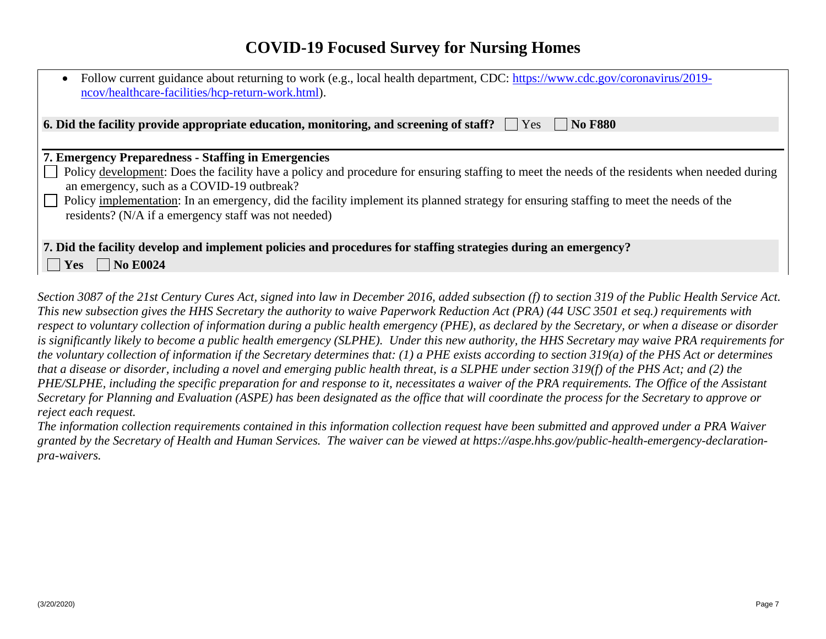| Follow current guidance about returning to work (e.g., local health department, CDC: https://www.cdc.gov/coronavirus/2019-<br>ncov/healthcare-facilities/hcp-return-work.html).                                                                                                                                                                                                                                                                      |
|------------------------------------------------------------------------------------------------------------------------------------------------------------------------------------------------------------------------------------------------------------------------------------------------------------------------------------------------------------------------------------------------------------------------------------------------------|
| 6. Did the facility provide appropriate education, monitoring, and screening of staff? $\Box$ Yes<br><b>No F880</b>                                                                                                                                                                                                                                                                                                                                  |
| 7. Emergency Preparedness - Staffing in Emergencies<br>Policy development: Does the facility have a policy and procedure for ensuring staffing to meet the needs of the residents when needed during<br>an emergency, such as a COVID-19 outbreak?<br>Policy implementation: In an emergency, did the facility implement its planned strategy for ensuring staffing to meet the needs of the<br>residents? (N/A if a emergency staff was not needed) |
| 7. Did the facility develop and implement policies and procedures for staffing strategies during an emergency?<br>$\Box$ No E0024<br>$ $   Yes                                                                                                                                                                                                                                                                                                       |

*Section 3087 of the 21st Century Cures Act, signed into law in December 2016, added subsection (f) to section 319 of the Public Health Service Act. This new subsection gives the HHS Secretary the authority to waive Paperwork Reduction Act (PRA) (44 USC 3501 et seq.) requirements with respect to voluntary collection of information during a public health emergency (PHE), as declared by the Secretary, or when a disease or disorder is significantly likely to become a public health emergency (SLPHE). Under this new authority, the HHS Secretary may waive PRA requirements for the voluntary collection of information if the Secretary determines that: (1) a PHE exists according to section 319(a) of the PHS Act or determines that a disease or disorder, including a novel and emerging public health threat, is a SLPHE under section 319(f) of the PHS Act; and (2) the PHE/SLPHE, including the specific preparation for and response to it, necessitates a waiver of the PRA requirements. The Office of the Assistant Secretary for Planning and Evaluation (ASPE) has been designated as the office that will coordinate the process for the Secretary to approve or reject each request.*

*The information collection requirements contained in this information collection request have been submitted and approved under a PRA Waiver granted by the Secretary of Health and Human Services. The waiver can be viewed at https://aspe.hhs.gov/public-health-emergency-declarationpra-waivers.*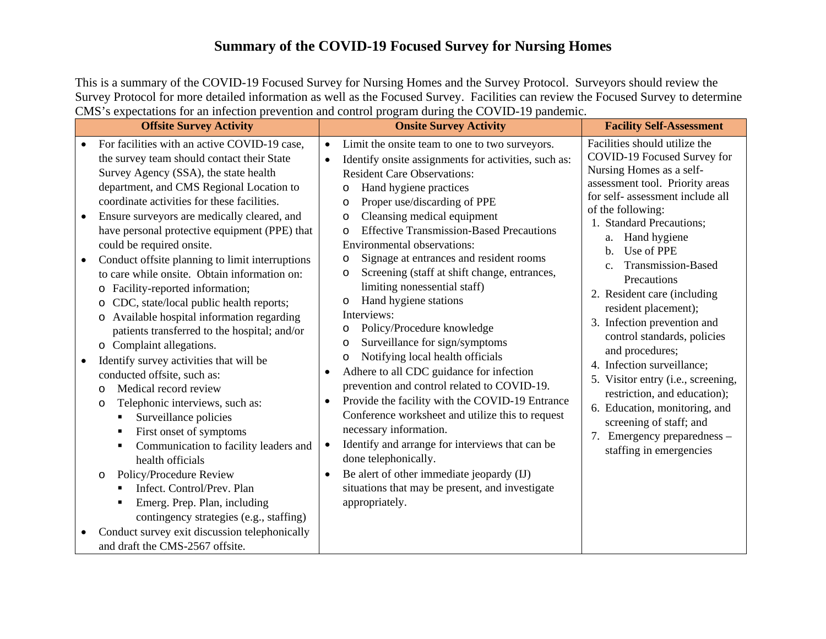### **Summary of the COVID-19 Focused Survey for Nursing Homes**

This is a summary of the COVID-19 Focused Survey for Nursing Homes and the Survey Protocol. Surveyors should review the Survey Protocol for more detailed information as well as the Focused Survey. Facilities can review the Focused Survey to determine CMS's expectations for an infection prevention and control program during the COVID-19 pandemic.

| <b>Offsite Survey Activity</b>                                                                                                                                                                                                                                                                                                                                                                                                                                                                                                                                                                                                                                                                                                                                                                                                                                                                                                                                                                                                                                                                                                                                                                                    | <b>Onsite Survey Activity</b>                                                                                                                                                                                                                                                                                                                                                                                                                                                                                                                                                                                                                                                                                                                                                                                                                                                                                                                                                                                                                                                                                                                                                                     | <b>Facility Self-Assessment</b>                                                                                                                                                                                                                                                                                                                                                                                                                                                                                                                                                                                                                                                                         |
|-------------------------------------------------------------------------------------------------------------------------------------------------------------------------------------------------------------------------------------------------------------------------------------------------------------------------------------------------------------------------------------------------------------------------------------------------------------------------------------------------------------------------------------------------------------------------------------------------------------------------------------------------------------------------------------------------------------------------------------------------------------------------------------------------------------------------------------------------------------------------------------------------------------------------------------------------------------------------------------------------------------------------------------------------------------------------------------------------------------------------------------------------------------------------------------------------------------------|---------------------------------------------------------------------------------------------------------------------------------------------------------------------------------------------------------------------------------------------------------------------------------------------------------------------------------------------------------------------------------------------------------------------------------------------------------------------------------------------------------------------------------------------------------------------------------------------------------------------------------------------------------------------------------------------------------------------------------------------------------------------------------------------------------------------------------------------------------------------------------------------------------------------------------------------------------------------------------------------------------------------------------------------------------------------------------------------------------------------------------------------------------------------------------------------------|---------------------------------------------------------------------------------------------------------------------------------------------------------------------------------------------------------------------------------------------------------------------------------------------------------------------------------------------------------------------------------------------------------------------------------------------------------------------------------------------------------------------------------------------------------------------------------------------------------------------------------------------------------------------------------------------------------|
| For facilities with an active COVID-19 case,<br>the survey team should contact their State<br>Survey Agency (SSA), the state health<br>department, and CMS Regional Location to<br>coordinate activities for these facilities.<br>Ensure surveyors are medically cleared, and<br>have personal protective equipment (PPE) that<br>could be required onsite.<br>Conduct offsite planning to limit interruptions<br>to care while onsite. Obtain information on:<br>Facility-reported information;<br>O<br>CDC, state/local public health reports;<br>$\circ$<br>o Available hospital information regarding<br>patients transferred to the hospital; and/or<br>o Complaint allegations.<br>Identify survey activities that will be<br>$\bullet$<br>conducted offsite, such as:<br>Medical record review<br>$\circ$<br>Telephonic interviews, such as:<br>O<br>Surveillance policies<br>First onset of symptoms<br>٠<br>Communication to facility leaders and<br>health officials<br>Policy/Procedure Review<br>$\circ$<br>Infect. Control/Prev. Plan<br>Emerg. Prep. Plan, including<br>contingency strategies (e.g., staffing)<br>Conduct survey exit discussion telephonically<br>and draft the CMS-2567 offsite. | Limit the onsite team to one to two surveyors.<br>$\bullet$<br>Identify onsite assignments for activities, such as:<br>$\bullet$<br><b>Resident Care Observations:</b><br>Hand hygiene practices<br>$\circ$<br>Proper use/discarding of PPE<br>O<br>Cleansing medical equipment<br>$\circ$<br><b>Effective Transmission-Based Precautions</b><br>$\circ$<br><b>Environmental observations:</b><br>Signage at entrances and resident rooms<br>$\circ$<br>Screening (staff at shift change, entrances,<br>$\circ$<br>limiting nonessential staff)<br>Hand hygiene stations<br>$\circ$<br>Interviews:<br>Policy/Procedure knowledge<br>O<br>Surveillance for sign/symptoms<br>$\circ$<br>Notifying local health officials<br>$\circ$<br>Adhere to all CDC guidance for infection<br>$\bullet$<br>prevention and control related to COVID-19.<br>Provide the facility with the COVID-19 Entrance<br>$\bullet$<br>Conference worksheet and utilize this to request<br>necessary information.<br>Identify and arrange for interviews that can be<br>$\bullet$<br>done telephonically.<br>Be alert of other immediate jeopardy (IJ)<br>situations that may be present, and investigate<br>appropriately. | Facilities should utilize the<br>COVID-19 Focused Survey for<br>Nursing Homes as a self-<br>assessment tool. Priority areas<br>for self- assessment include all<br>of the following:<br>1. Standard Precautions;<br>Hand hygiene<br>a.<br>Use of PPE<br>$\mathbf{b}$ .<br><b>Transmission-Based</b><br>$\mathcal{C}$ .<br>Precautions<br>2. Resident care (including<br>resident placement);<br>3. Infection prevention and<br>control standards, policies<br>and procedures;<br>4. Infection surveillance;<br>5. Visitor entry (i.e., screening,<br>restriction, and education);<br>6. Education, monitoring, and<br>screening of staff; and<br>7. Emergency preparedness –<br>staffing in emergencies |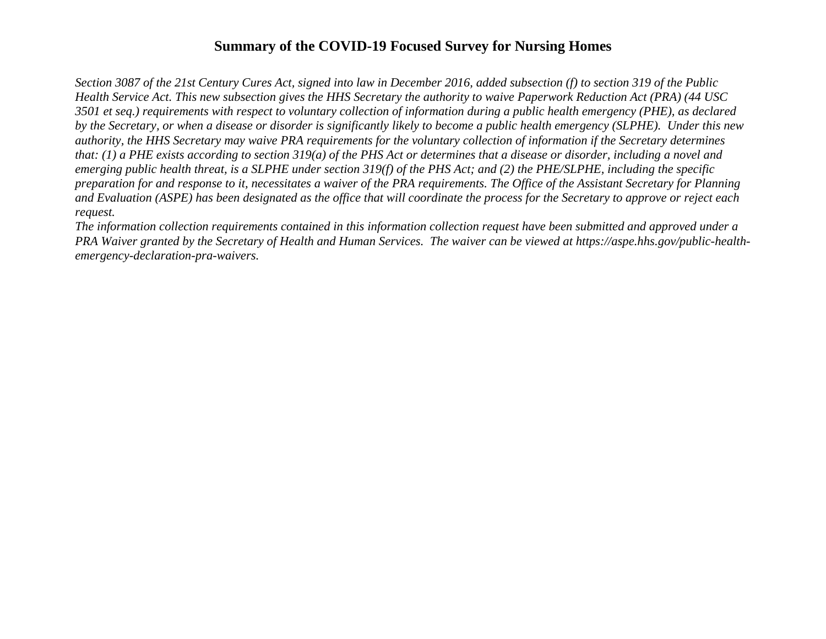### **Summary of the COVID-19 Focused Survey for Nursing Homes**

*Section 3087 of the 21st Century Cures Act, signed into law in December 2016, added subsection (f) to section 319 of the Public Health Service Act. This new subsection gives the HHS Secretary the authority to waive Paperwork Reduction Act (PRA) (44 USC 3501 et seq.) requirements with respect to voluntary collection of information during a public health emergency (PHE), as declared by the Secretary, or when a disease or disorder is significantly likely to become a public health emergency (SLPHE). Under this new authority, the HHS Secretary may waive PRA requirements for the voluntary collection of information if the Secretary determines that: (1) a PHE exists according to section 319(a) of the PHS Act or determines that a disease or disorder, including a novel and emerging public health threat, is a SLPHE under section 319(f) of the PHS Act; and (2) the PHE/SLPHE, including the specific preparation for and response to it, necessitates a waiver of the PRA requirements. The Office of the Assistant Secretary for Planning and Evaluation (ASPE) has been designated as the office that will coordinate the process for the Secretary to approve or reject each request.*

*The information collection requirements contained in this information collection request have been submitted and approved under a PRA Waiver granted by the Secretary of Health and Human Services. The waiver can be viewed at https://aspe.hhs.gov/public-healthemergency-declaration-pra-waivers.*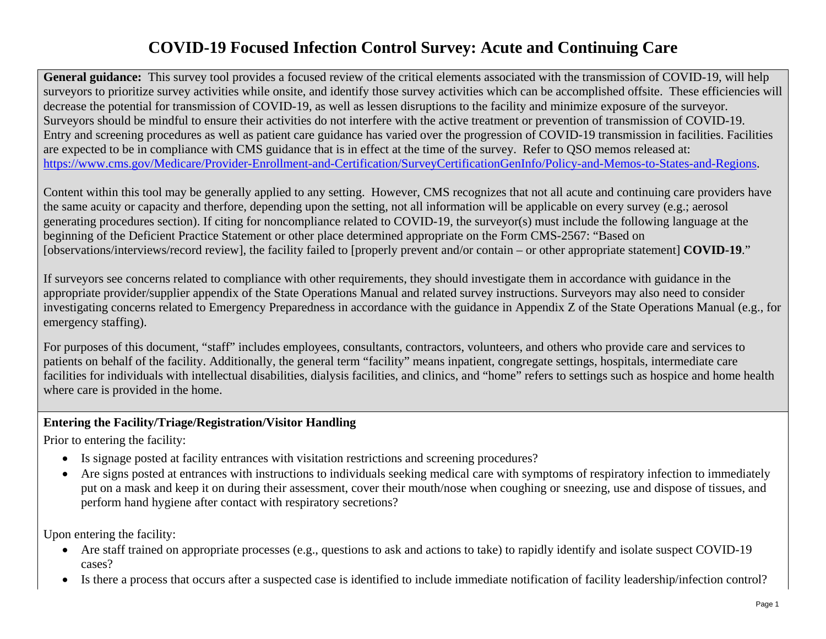General guidance: This survey tool provides a focused review of the critical elements associated with the transmission of COVID-19, will help surveyors to prioritize survey activities while onsite, and identify those survey activities which can be accomplished offsite. These efficiencies will decrease the potential for transmission of COVID-19, as well as lessen disruptions to the facility and minimize exposure of the surveyor. Surveyors should be mindful to ensure their activities do not interfere with the active treatment or prevention of transmission of COVID-19. Entry and screening procedures as well as patient care guidance has varied over the progression of COVID-19 transmission in facilities. Facilities are expected to be in compliance with CMS guidance that is in effect at the time of the survey. Refer to QSO memos released at: [https://www.cms.gov/Medicare/Provider-Enrollment-and-Certification/SurveyCertificationGenInfo/Policy-and-Memos-to-States-and-Regions.](https://www.cms.gov/Medicare/Provider-Enrollment-and-Certification/SurveyCertificationGenInfo/Policy-and-Memos-to-States-and-Regions)

Content within this tool may be generally applied to any setting. However, CMS recognizes that not all acute and continuing care providers have the same acuity or capacity and therfore, depending upon the setting, not all information will be applicable on every survey (e.g.; aerosol generating procedures section). If citing for noncompliance related to COVID-19, the surveyor(s) must include the following language at the beginning of the Deficient Practice Statement or other place determined appropriate on the Form CMS-2567: "Based on [observations/interviews/record review], the facility failed to [properly prevent and/or contain – or other appropriate statement] **COVID-19**."

If surveyors see concerns related to compliance with other requirements, they should investigate them in accordance with guidance in the appropriate provider/supplier appendix of the State Operations Manual and related survey instructions. Surveyors may also need to consider investigating concerns related to Emergency Preparedness in accordance with the guidance in Appendix Z of the State Operations Manual (e.g., for emergency staffing).

For purposes of this document, "staff" includes employees, consultants, contractors, volunteers, and others who provide care and services to patients on behalf of the facility. Additionally, the general term "facility" means inpatient, congregate settings, hospitals, intermediate care facilities for individuals with intellectual disabilities, dialysis facilities, and clinics, and "home" refers to settings such as hospice and home health where care is provided in the home.

### **Entering the Facility/Triage/Registration/Visitor Handling**

Prior to entering the facility:

- Is signage posted at facility entrances with visitation restrictions and screening procedures?
- Are signs posted at entrances with instructions to individuals seeking medical care with symptoms of respiratory infection to immediately put on a mask and keep it on during their assessment, cover their mouth/nose when coughing or sneezing, use and dispose of tissues, and perform hand hygiene after contact with respiratory secretions?

Upon entering the facility:

- Are staff trained on appropriate processes (e.g., questions to ask and actions to take) to rapidly identify and isolate suspect COVID-19 cases?
- Is there a process that occurs after a suspected case is identified to include immediate notification of facility leadership/infection control?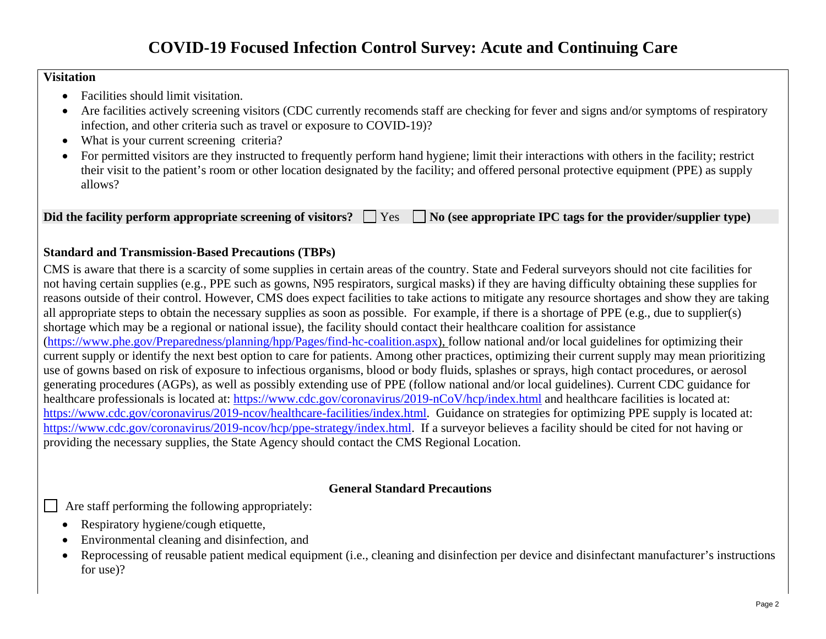### **Visitation**

- Facilities should limit visitation.
- Are facilities actively screening visitors (CDC currently recomends staff are checking for fever and signs and/or symptoms of respiratory infection, and other criteria such as travel or exposure to COVID-19)?
- What is your current screening criteria?
- For permitted visitors are they instructed to frequently perform hand hygiene; limit their interactions with others in the facility; restrict their visit to the patient's room or other location designated by the facility; and offered personal protective equipment (PPE) as supply allows?

### Did the facility perform appropriate screening of visitors?  $\Box$  Yes  $\Box$  No (see appropriate IPC tags for the provider/supplier type)

### **Standard and Transmission-Based Precautions (TBPs)**

CMS is aware that there is a scarcity of some supplies in certain areas of the country. State and Federal surveyors should not cite facilities for not having certain supplies (e.g., PPE such as gowns, N95 respirators, surgical masks) if they are having difficulty obtaining these supplies for reasons outside of their control. However, CMS does expect facilities to take actions to mitigate any resource shortages and show they are taking all appropriate steps to obtain the necessary supplies as soon as possible. For example, if there is a shortage of PPE (e.g., due to supplier(s) shortage which may be a regional or national issue), the facility should contact their healthcare coalition for assistance [\(https://www.phe.gov/Preparedness/planning/hpp/Pages/find-hc-coalition.aspx\)](https://www.phe.gov/Preparedness/planning/hpp/Pages/find-hc-coalition.aspx), follow national and/or local guidelines for optimizing their current supply or identify the next best option to care for patients. Among other practices, optimizing their current supply may mean prioritizing use of gowns based on risk of exposure to infectious organisms, blood or body fluids, splashes or sprays, high contact procedures, or aerosol generating procedures (AGPs), as well as possibly extending use of PPE (follow national and/or local guidelines). Current CDC guidance for healthcare professionals is located at:<https://www.cdc.gov/coronavirus/2019-nCoV/hcp/index.html> and healthcare facilities is located at: [https://www.cdc.gov/coronavirus/2019-ncov/healthcare-facilities/index.html.](https://www.cdc.gov/coronavirus/2019-ncov/healthcare-facilities/index.html) Guidance on strategies for optimizing PPE supply is located at: [https://www.cdc.gov/coronavirus/2019-ncov/hcp/ppe-strategy/index.html.](https://www.cdc.gov/coronavirus/2019-ncov/hcp/ppe-strategy/index.html) If a surveyor believes a facility should be cited for not having or providing the necessary supplies, the State Agency should contact the CMS Regional Location.

### **General Standard Precautions**

Are staff performing the following appropriately:

- Respiratory hygiene/cough etiquette,
- Environmental cleaning and disinfection, and
- Reprocessing of reusable patient medical equipment (i.e., cleaning and disinfection per device and disinfectant manufacturer's instructions for use)?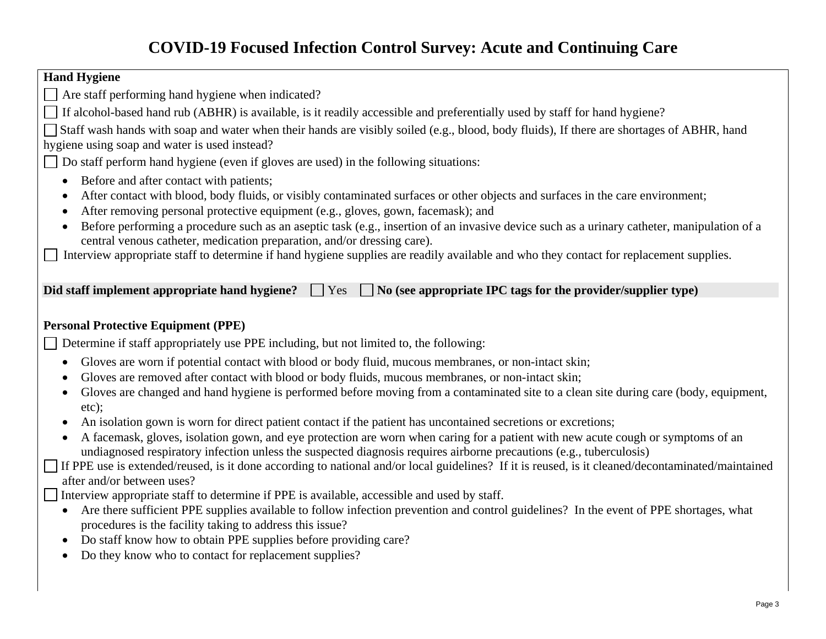| <b>Hand Hygiene</b>                                                                                                                                                                                                                                     |
|---------------------------------------------------------------------------------------------------------------------------------------------------------------------------------------------------------------------------------------------------------|
| Are staff performing hand hygiene when indicated?                                                                                                                                                                                                       |
| If alcohol-based hand rub (ABHR) is available, is it readily accessible and preferentially used by staff for hand hygiene?                                                                                                                              |
| Staff wash hands with soap and water when their hands are visibly soiled (e.g., blood, body fluids), If there are shortages of ABHR, hand                                                                                                               |
| hygiene using soap and water is used instead?                                                                                                                                                                                                           |
| Do staff perform hand hygiene (even if gloves are used) in the following situations:                                                                                                                                                                    |
| Before and after contact with patients;<br>$\bullet$                                                                                                                                                                                                    |
| After contact with blood, body fluids, or visibly contaminated surfaces or other objects and surfaces in the care environment;                                                                                                                          |
| After removing personal protective equipment (e.g., gloves, gown, facemask); and                                                                                                                                                                        |
| Before performing a procedure such as an aseptic task (e.g., insertion of an invasive device such as a urinary catheter, manipulation of a<br>$\bullet$<br>central venous catheter, medication preparation, and/or dressing care).                      |
| Interview appropriate staff to determine if hand hygiene supplies are readily available and who they contact for replacement supplies.                                                                                                                  |
|                                                                                                                                                                                                                                                         |
| No (see appropriate IPC tags for the provider/supplier type)<br>Did staff implement appropriate hand hygiene?<br>$ $ Yes                                                                                                                                |
| <b>Personal Protective Equipment (PPE)</b>                                                                                                                                                                                                              |
| Determine if staff appropriately use PPE including, but not limited to, the following:                                                                                                                                                                  |
| Gloves are worn if potential contact with blood or body fluid, mucous membranes, or non-intact skin;<br>$\bullet$                                                                                                                                       |
| Gloves are removed after contact with blood or body fluids, mucous membranes, or non-intact skin;                                                                                                                                                       |
| Gloves are changed and hand hygiene is performed before moving from a contaminated site to a clean site during care (body, equipment,<br>etc);                                                                                                          |
| An isolation gown is worn for direct patient contact if the patient has uncontained secretions or excretions;                                                                                                                                           |
| A facemask, gloves, isolation gown, and eye protection are worn when caring for a patient with new acute cough or symptoms of an<br>undiagnosed respiratory infection unless the suspected diagnosis requires airborne precautions (e.g., tuberculosis) |
| If PPE use is extended/reused, is it done according to national and/or local guidelines? If it is reused, is it cleaned/decontaminated/maintained                                                                                                       |
| after and/or between uses?                                                                                                                                                                                                                              |
| Interview appropriate staff to determine if PPE is available, accessible and used by staff.                                                                                                                                                             |
| Are there sufficient PPE supplies available to follow infection prevention and control guidelines? In the event of PPE shortages, what<br>$\bullet$<br>procedures is the facility taking to address this issue?                                         |
| Do staff know how to obtain PPE supplies before providing care?<br>$\bullet$                                                                                                                                                                            |
| Do they know who to contact for replacement supplies?                                                                                                                                                                                                   |
|                                                                                                                                                                                                                                                         |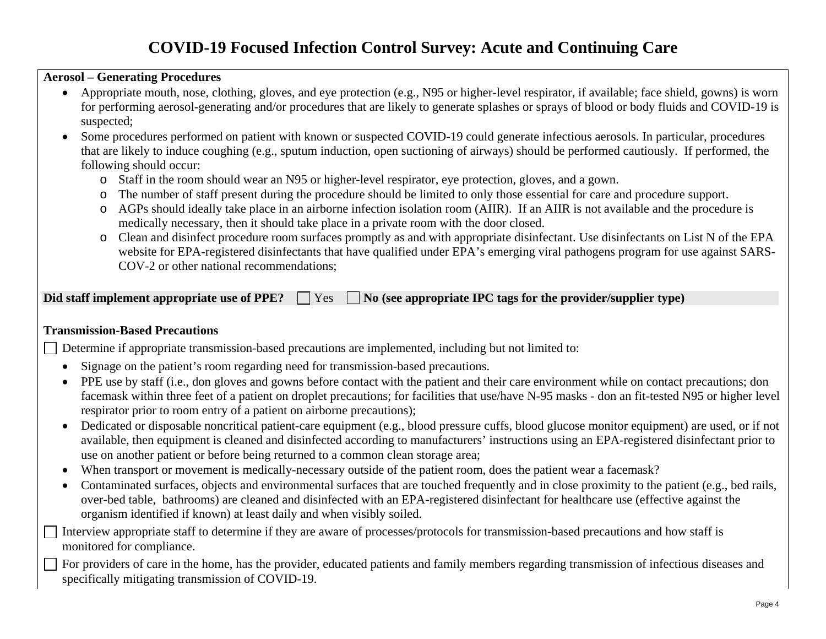### **Aerosol – Generating Procedures**

- Appropriate mouth, nose, clothing, gloves, and eye protection (e.g., N95 or higher-level respirator, if available; face shield, gowns) is worn for performing aerosol-generating and/or procedures that are likely to generate splashes or sprays of blood or body fluids and COVID-19 is suspected;
- Some procedures performed on patient with known or suspected COVID-19 could generate infectious aerosols. In particular, procedures that are likely to induce coughing (e.g., sputum induction, open suctioning of airways) should be performed cautiously. If performed, the following should occur:
	- o Staff in the room should wear an N95 or higher-level respirator, eye protection, gloves, and a gown.
	- o The number of staff present during the procedure should be limited to only those essential for care and procedure support.
	- o AGPs should ideally take place in an airborne infection isolation room (AIIR). If an AIIR is not available and the procedure is medically necessary, then it should take place in a private room with the door closed.
	- o Clean and disinfect procedure room surfaces promptly as and with appropriate disinfectant. Use disinfectants on List N of the EPA website for EPA-registered disinfectants that have qualified under EPA's emerging viral pathogens program for use against SARS-COV-2 or other national recommendations;

| Did staff implement appropriate use of PPE? $\Box$ Yes |  | $\Box$ No (see appropriate IPC tags for the provider/supplier type) |  |  |  |
|--------------------------------------------------------|--|---------------------------------------------------------------------|--|--|--|
|--------------------------------------------------------|--|---------------------------------------------------------------------|--|--|--|

#### **Transmission-Based Precautions**

Determine if appropriate transmission-based precautions are implemented, including but not limited to:

- Signage on the patient's room regarding need for transmission-based precautions.
- PPE use by staff (i.e., don gloves and gowns before contact with the patient and their care environment while on contact precautions; don facemask within three feet of a patient on droplet precautions; for facilities that use/have N-95 masks - don an fit-tested N95 or higher level respirator prior to room entry of a patient on airborne precautions);
- Dedicated or disposable noncritical patient-care equipment (e.g., blood pressure cuffs, blood glucose monitor equipment) are used, or if not available, then equipment is cleaned and disinfected according to manufacturers' instructions using an EPA-registered disinfectant prior to use on another patient or before being returned to a common clean storage area;
- When transport or movement is medically-necessary outside of the patient room, does the patient wear a facemask?
- Contaminated surfaces, objects and environmental surfaces that are touched frequently and in close proximity to the patient (e.g., bed rails, over-bed table, bathrooms) are cleaned and disinfected with an EPA-registered disinfectant for healthcare use (effective against the organism identified if known) at least daily and when visibly soiled.

Interview appropriate staff to determine if they are aware of processes/protocols for transmission-based precautions and how staff is monitored for compliance.

For providers of care in the home, has the provider, educated patients and family members regarding transmission of infectious diseases and specifically mitigating transmission of COVID-19.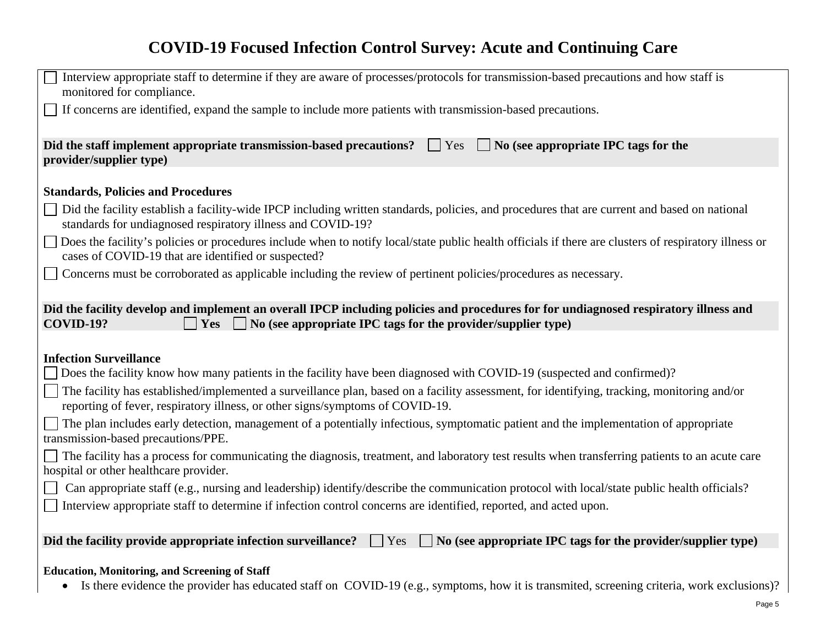| Interview appropriate staff to determine if they are aware of processes/protocols for transmission-based precautions and how staff is<br>monitored for compliance.                                                              |
|---------------------------------------------------------------------------------------------------------------------------------------------------------------------------------------------------------------------------------|
| If concerns are identified, expand the sample to include more patients with transmission-based precautions.                                                                                                                     |
| Did the staff implement appropriate transmission-based precautions?<br>$\Box$ No (see appropriate IPC tags for the<br>$ $ Yes<br>provider/supplier type)                                                                        |
| <b>Standards, Policies and Procedures</b>                                                                                                                                                                                       |
| Did the facility establish a facility-wide IPCP including written standards, policies, and procedures that are current and based on national<br>standards for undiagnosed respiratory illness and COVID-19?                     |
| Does the facility's policies or procedures include when to notify local/state public health officials if there are clusters of respiratory illness or<br>cases of COVID-19 that are identified or suspected?                    |
| Concerns must be corroborated as applicable including the review of pertinent policies/procedures as necessary.                                                                                                                 |
| Did the facility develop and implement an overall IPCP including policies and procedures for for undiagnosed respiratory illness and<br><b>COVID-19?</b><br>No (see appropriate IPC tags for the provider/supplier type)<br>Yes |
| <b>Infection Surveillance</b>                                                                                                                                                                                                   |
| Does the facility know how many patients in the facility have been diagnosed with COVID-19 (suspected and confirmed)?                                                                                                           |
| The facility has established/implemented a surveillance plan, based on a facility assessment, for identifying, tracking, monitoring and/or<br>reporting of fever, respiratory illness, or other signs/symptoms of COVID-19.     |
| The plan includes early detection, management of a potentially infectious, symptomatic patient and the implementation of appropriate<br>transmission-based precautions/PPE.                                                     |
| The facility has a process for communicating the diagnosis, treatment, and laboratory test results when transferring patients to an acute care<br>hospital or other healthcare provider.                                        |
| Can appropriate staff (e.g., nursing and leadership) identify/describe the communication protocol with local/state public health officials?                                                                                     |
| Interview appropriate staff to determine if infection control concerns are identified, reported, and acted upon.                                                                                                                |
| Did the facility provide appropriate infection surveillance?<br>Yes<br>No (see appropriate IPC tags for the provider/supplier type)                                                                                             |
| <b>Education, Monitoring, and Screening of Staff</b>                                                                                                                                                                            |
| • Is there evidence the provider has educated staff on COVID-19 (e.g., symptoms, how it is transmited, screening criteria, work exclusions)?                                                                                    |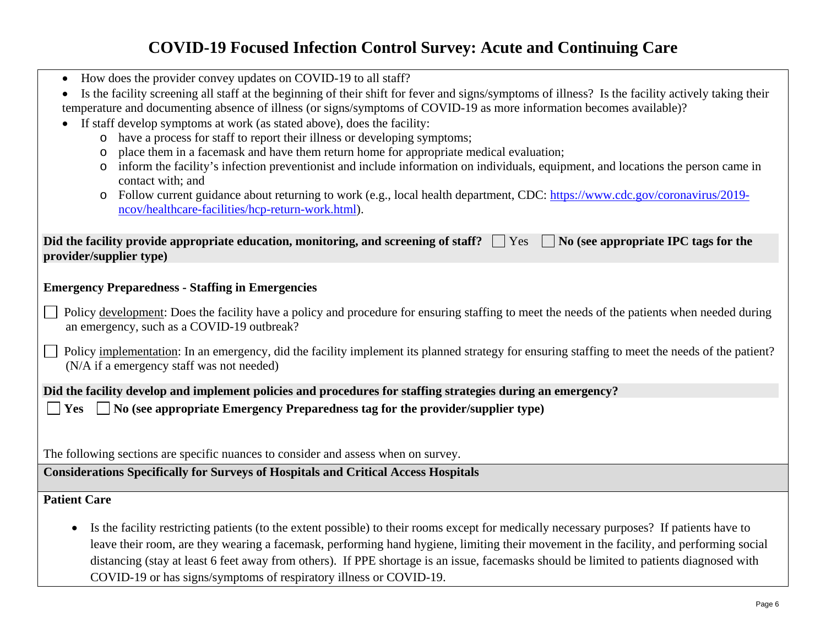| How does the provider convey updates on COVID-19 to all staff?                                                                                                                               |
|----------------------------------------------------------------------------------------------------------------------------------------------------------------------------------------------|
| Is the facility screening all staff at the beginning of their shift for fever and signs/symptoms of illness? Is the facility actively taking their                                           |
| temperature and documenting absence of illness (or signs/symptoms of COVID-19 as more information becomes available)?                                                                        |
| If staff develop symptoms at work (as stated above), does the facility:                                                                                                                      |
| o have a process for staff to report their illness or developing symptoms;                                                                                                                   |
| place them in a facemask and have them return home for appropriate medical evaluation;<br>$\circ$                                                                                            |
| inform the facility's infection preventionist and include information on individuals, equipment, and locations the person came in<br>$\circ$<br>contact with; and                            |
| Follow current guidance about returning to work (e.g., local health department, CDC: https://www.cdc.gov/coronavirus/2019-                                                                   |
| ncov/healthcare-facilities/hcp-return-work.html).                                                                                                                                            |
|                                                                                                                                                                                              |
| Did the facility provide appropriate education, monitoring, and screening of staff? $\Box$ Yes<br>$\Box$ No (see appropriate IPC tags for the<br>provider/supplier type)                     |
|                                                                                                                                                                                              |
| <b>Emergency Preparedness - Staffing in Emergencies</b>                                                                                                                                      |
| Policy development: Does the facility have a policy and procedure for ensuring staffing to meet the needs of the patients when needed during                                                 |
| an emergency, such as a COVID-19 outbreak?                                                                                                                                                   |
|                                                                                                                                                                                              |
| Policy implementation: In an emergency, did the facility implement its planned strategy for ensuring staffing to meet the needs of the patient?<br>(N/A if a emergency staff was not needed) |
| Did the facility develop and implement policies and procedures for staffing strategies during an emergency?                                                                                  |
| $\Box$ No (see appropriate Emergency Preparedness tag for the provider/supplier type)<br>Yes                                                                                                 |
|                                                                                                                                                                                              |
|                                                                                                                                                                                              |
| The following sections are specific nuances to consider and assess when on survey.                                                                                                           |
| <b>Considerations Specifically for Surveys of Hospitals and Critical Access Hospitals</b>                                                                                                    |
|                                                                                                                                                                                              |
| <b>Patient Care</b>                                                                                                                                                                          |
|                                                                                                                                                                                              |
| Is the facility restricting patients (to the extent possible) to their rooms except for medically necessary purposes? If patients have to<br>$\bullet$                                       |
| leave their room, are they wearing a facemask, performing hand hygiene, limiting their movement in the facility, and performing social                                                       |
| distancing (stay at least 6 feet away from others). If PPE shortage is an issue, facemasks should be limited to patients diagnosed with                                                      |
| COVID-19 or has signs/symptoms of respiratory illness or COVID-19.                                                                                                                           |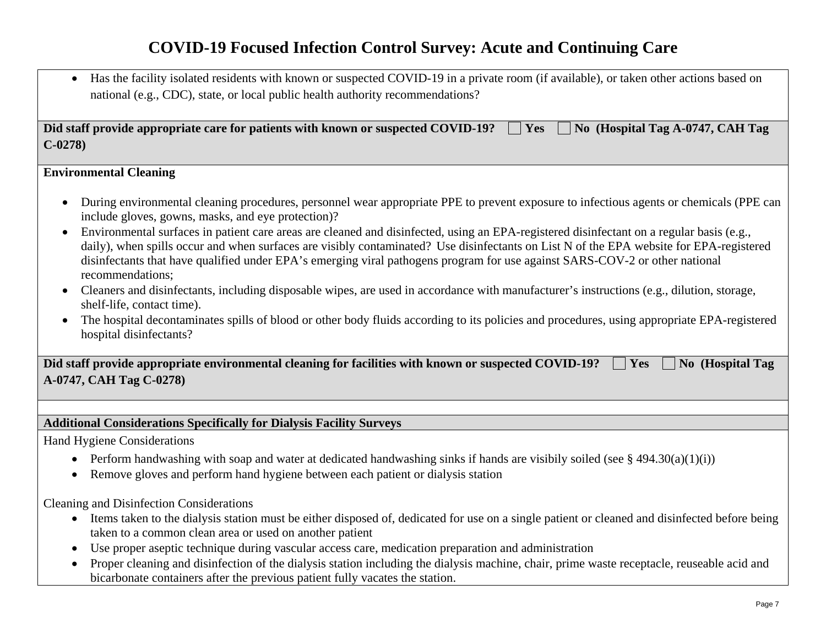| Has the facility isolated residents with known or suspected COVID-19 in a private room (if available), or taken other actions based on<br>national (e.g., CDC), state, or local public health authority recommendations?                                                                                                                                                                                                                                                                                                                                                                                                                                                                                                                                                                                                                                                                                                                                                                                                                                                                                                                                    |
|-------------------------------------------------------------------------------------------------------------------------------------------------------------------------------------------------------------------------------------------------------------------------------------------------------------------------------------------------------------------------------------------------------------------------------------------------------------------------------------------------------------------------------------------------------------------------------------------------------------------------------------------------------------------------------------------------------------------------------------------------------------------------------------------------------------------------------------------------------------------------------------------------------------------------------------------------------------------------------------------------------------------------------------------------------------------------------------------------------------------------------------------------------------|
| Did staff provide appropriate care for patients with known or suspected COVID-19?<br>Yes<br>No (Hospital Tag A-0747, CAH Tag                                                                                                                                                                                                                                                                                                                                                                                                                                                                                                                                                                                                                                                                                                                                                                                                                                                                                                                                                                                                                                |
| $C-0278$                                                                                                                                                                                                                                                                                                                                                                                                                                                                                                                                                                                                                                                                                                                                                                                                                                                                                                                                                                                                                                                                                                                                                    |
| <b>Environmental Cleaning</b>                                                                                                                                                                                                                                                                                                                                                                                                                                                                                                                                                                                                                                                                                                                                                                                                                                                                                                                                                                                                                                                                                                                               |
| During environmental cleaning procedures, personnel wear appropriate PPE to prevent exposure to infectious agents or chemicals (PPE can<br>include gloves, gowns, masks, and eye protection)?<br>Environmental surfaces in patient care areas are cleaned and disinfected, using an EPA-registered disinfectant on a regular basis (e.g.,<br>daily), when spills occur and when surfaces are visibly contaminated? Use disinfectants on List N of the EPA website for EPA-registered<br>disinfectants that have qualified under EPA's emerging viral pathogens program for use against SARS-COV-2 or other national<br>recommendations;<br>Cleaners and disinfectants, including disposable wipes, are used in accordance with manufacturer's instructions (e.g., dilution, storage,<br>shelf-life, contact time).<br>The hospital decontaminates spills of blood or other body fluids according to its policies and procedures, using appropriate EPA-registered<br>hospital disinfectants?<br>Did staff provide appropriate environmental cleaning for facilities with known or suspected COVID-19?<br>Yes<br>No (Hospital Tag<br>A-0747, CAH Tag C-0278) |
|                                                                                                                                                                                                                                                                                                                                                                                                                                                                                                                                                                                                                                                                                                                                                                                                                                                                                                                                                                                                                                                                                                                                                             |
| <b>Additional Considerations Specifically for Dialysis Facility Surveys</b>                                                                                                                                                                                                                                                                                                                                                                                                                                                                                                                                                                                                                                                                                                                                                                                                                                                                                                                                                                                                                                                                                 |
| <b>Hand Hygiene Considerations</b>                                                                                                                                                                                                                                                                                                                                                                                                                                                                                                                                                                                                                                                                                                                                                                                                                                                                                                                                                                                                                                                                                                                          |
| Perform handwashing with soap and water at dedicated handwashing sinks if hands are visibily soiled (see $\S$ 494.30(a)(1)(i))<br>$\bullet$<br>Remove gloves and perform hand hygiene between each patient or dialysis station<br>$\bullet$                                                                                                                                                                                                                                                                                                                                                                                                                                                                                                                                                                                                                                                                                                                                                                                                                                                                                                                 |
| <b>Cleaning and Disinfection Considerations</b>                                                                                                                                                                                                                                                                                                                                                                                                                                                                                                                                                                                                                                                                                                                                                                                                                                                                                                                                                                                                                                                                                                             |
| • Items taken to the dialysis station must be either disposed of, dedicated for use on a single patient or cleaned and disinfected before being<br>taken to a common clean area or used on another patient                                                                                                                                                                                                                                                                                                                                                                                                                                                                                                                                                                                                                                                                                                                                                                                                                                                                                                                                                  |
| Use proper aseptic technique during vascular access care, medication preparation and administration<br>$\bullet$<br>Proper cleaning and disinfection of the dialysis station including the dialysis machine, chair, prime waste receptacle, reuseable acid and<br>bicarbonate containers after the previous patient fully vacates the station.                                                                                                                                                                                                                                                                                                                                                                                                                                                                                                                                                                                                                                                                                                                                                                                                              |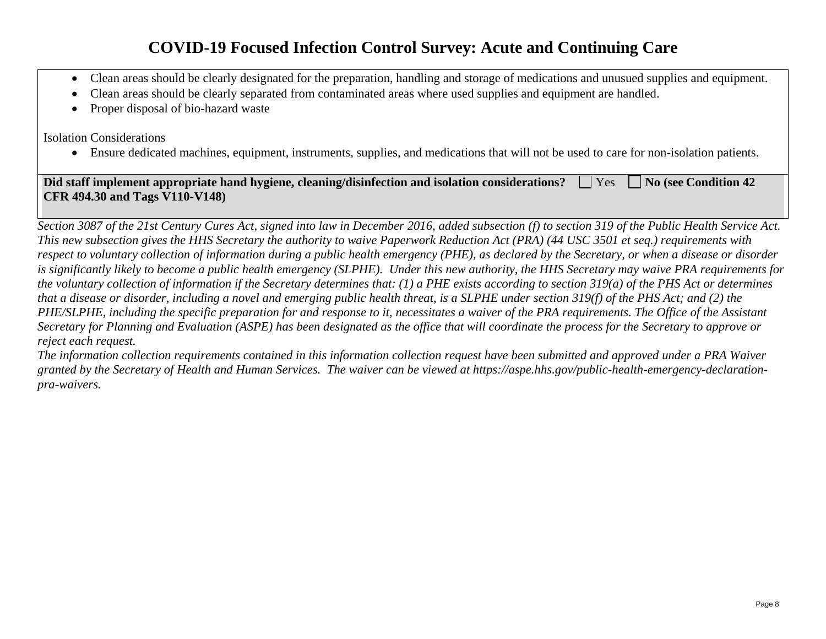- Clean areas should be clearly designated for the preparation, handling and storage of medications and unusued supplies and equipment.
- Clean areas should be clearly separated from contaminated areas where used supplies and equipment are handled.
- Proper disposal of bio-hazard waste

Isolation Considerations

• Ensure dedicated machines, equipment, instruments, supplies, and medications that will not be used to care for non-isolation patients.

Did staff implement appropriate hand hygiene, cleaning/disinfection and isolation considerations?  $\Box$  Yes  $\Box$  No (see Condition 42 **CFR 494.30 and Tags V110-V148)**

*Section 3087 of the 21st Century Cures Act, signed into law in December 2016, added subsection (f) to section 319 of the Public Health Service Act. This new subsection gives the HHS Secretary the authority to waive Paperwork Reduction Act (PRA) (44 USC 3501 et seq.) requirements with respect to voluntary collection of information during a public health emergency (PHE), as declared by the Secretary, or when a disease or disorder is significantly likely to become a public health emergency (SLPHE). Under this new authority, the HHS Secretary may waive PRA requirements for the voluntary collection of information if the Secretary determines that: (1) a PHE exists according to section 319(a) of the PHS Act or determines that a disease or disorder, including a novel and emerging public health threat, is a SLPHE under section 319(f) of the PHS Act; and (2) the PHE/SLPHE, including the specific preparation for and response to it, necessitates a waiver of the PRA requirements. The Office of the Assistant Secretary for Planning and Evaluation (ASPE) has been designated as the office that will coordinate the process for the Secretary to approve or reject each request.*

*The information collection requirements contained in this information collection request have been submitted and approved under a PRA Waiver granted by the Secretary of Health and Human Services. The waiver can be viewed at https://aspe.hhs.gov/public-health-emergency-declarationpra-waivers.*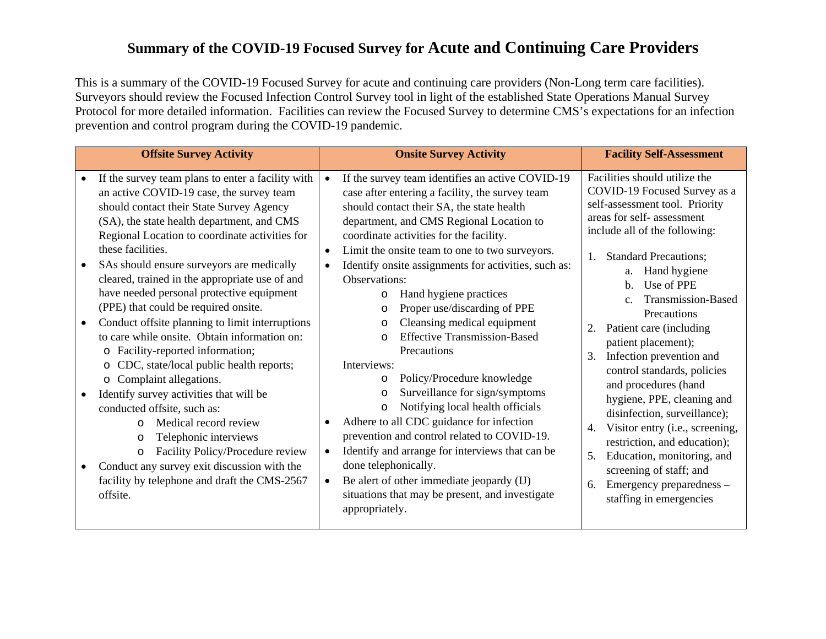### **Summary of the COVID-19 Focused Survey for Acute and Continuing Care Providers**

This is a summary of the COVID-19 Focused Survey for acute and continuing care providers (Non-Long term care facilities). Surveyors should review the Focused Infection Control Survey tool in light of the established State Operations Manual Survey Protocol for more detailed information. Facilities can review the Focused Survey to determine CMS's expectations for an infection prevention and control program during the COVID-19 pandemic.